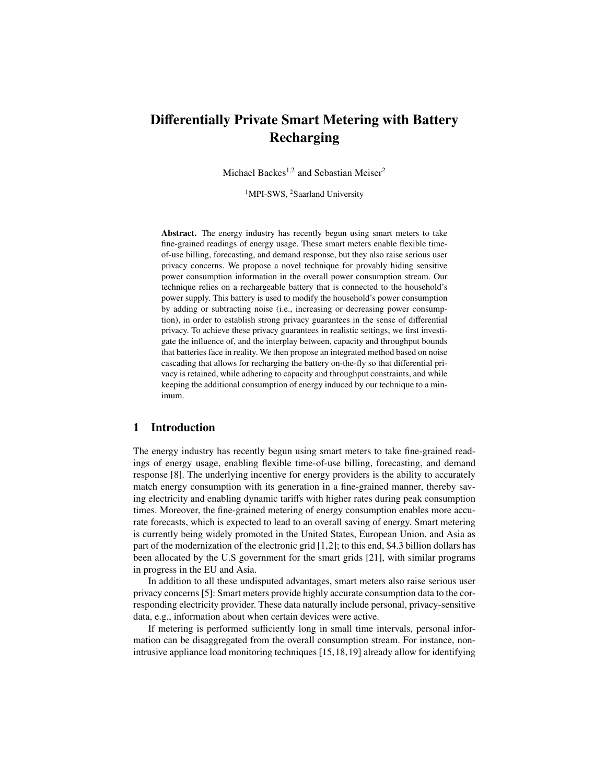# Differentially Private Smart Metering with Battery Recharging

Michael Backes<sup>1,2</sup> and Sebastian Meiser<sup>2</sup>

<sup>1</sup>MPI-SWS, <sup>2</sup>Saarland University

Abstract. The energy industry has recently begun using smart meters to take fine-grained readings of energy usage. These smart meters enable flexible timeof-use billing, forecasting, and demand response, but they also raise serious user privacy concerns. We propose a novel technique for provably hiding sensitive power consumption information in the overall power consumption stream. Our technique relies on a rechargeable battery that is connected to the household's power supply. This battery is used to modify the household's power consumption by adding or subtracting noise (i.e., increasing or decreasing power consumption), in order to establish strong privacy guarantees in the sense of differential privacy. To achieve these privacy guarantees in realistic settings, we first investigate the influence of, and the interplay between, capacity and throughput bounds that batteries face in reality. We then propose an integrated method based on noise cascading that allows for recharging the battery on-the-fly so that differential privacy is retained, while adhering to capacity and throughput constraints, and while keeping the additional consumption of energy induced by our technique to a minimum.

## 1 Introduction

The energy industry has recently begun using smart meters to take fine-grained readings of energy usage, enabling flexible time-of-use billing, forecasting, and demand response [8]. The underlying incentive for energy providers is the ability to accurately match energy consumption with its generation in a fine-grained manner, thereby saving electricity and enabling dynamic tariffs with higher rates during peak consumption times. Moreover, the fine-grained metering of energy consumption enables more accurate forecasts, which is expected to lead to an overall saving of energy. Smart metering is currently being widely promoted in the United States, European Union, and Asia as part of the modernization of the electronic grid [1,2]; to this end, \$4.3 billion dollars has been allocated by the U.S government for the smart grids [21], with similar programs in progress in the EU and Asia.

In addition to all these undisputed advantages, smart meters also raise serious user privacy concerns [5]: Smart meters provide highly accurate consumption data to the corresponding electricity provider. These data naturally include personal, privacy-sensitive data, e.g., information about when certain devices were active.

If metering is performed sufficiently long in small time intervals, personal information can be disaggregated from the overall consumption stream. For instance, nonintrusive appliance load monitoring techniques [15,18,19] already allow for identifying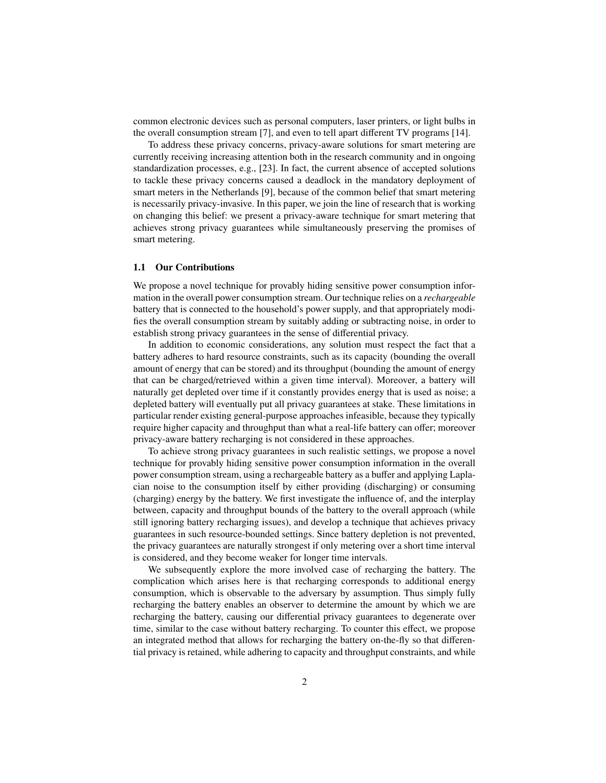common electronic devices such as personal computers, laser printers, or light bulbs in the overall consumption stream [7], and even to tell apart different TV programs [14].

To address these privacy concerns, privacy-aware solutions for smart metering are currently receiving increasing attention both in the research community and in ongoing standardization processes, e.g., [23]. In fact, the current absence of accepted solutions to tackle these privacy concerns caused a deadlock in the mandatory deployment of smart meters in the Netherlands [9], because of the common belief that smart metering is necessarily privacy-invasive. In this paper, we join the line of research that is working on changing this belief: we present a privacy-aware technique for smart metering that achieves strong privacy guarantees while simultaneously preserving the promises of smart metering.

#### 1.1 Our Contributions

We propose a novel technique for provably hiding sensitive power consumption information in the overall power consumption stream. Our technique relies on a *rechargeable* battery that is connected to the household's power supply, and that appropriately modifies the overall consumption stream by suitably adding or subtracting noise, in order to establish strong privacy guarantees in the sense of differential privacy.

In addition to economic considerations, any solution must respect the fact that a battery adheres to hard resource constraints, such as its capacity (bounding the overall amount of energy that can be stored) and its throughput (bounding the amount of energy that can be charged/retrieved within a given time interval). Moreover, a battery will naturally get depleted over time if it constantly provides energy that is used as noise; a depleted battery will eventually put all privacy guarantees at stake. These limitations in particular render existing general-purpose approaches infeasible, because they typically require higher capacity and throughput than what a real-life battery can offer; moreover privacy-aware battery recharging is not considered in these approaches.

To achieve strong privacy guarantees in such realistic settings, we propose a novel technique for provably hiding sensitive power consumption information in the overall power consumption stream, using a rechargeable battery as a buffer and applying Laplacian noise to the consumption itself by either providing (discharging) or consuming (charging) energy by the battery. We first investigate the influence of, and the interplay between, capacity and throughput bounds of the battery to the overall approach (while still ignoring battery recharging issues), and develop a technique that achieves privacy guarantees in such resource-bounded settings. Since battery depletion is not prevented, the privacy guarantees are naturally strongest if only metering over a short time interval is considered, and they become weaker for longer time intervals.

We subsequently explore the more involved case of recharging the battery. The complication which arises here is that recharging corresponds to additional energy consumption, which is observable to the adversary by assumption. Thus simply fully recharging the battery enables an observer to determine the amount by which we are recharging the battery, causing our differential privacy guarantees to degenerate over time, similar to the case without battery recharging. To counter this effect, we propose an integrated method that allows for recharging the battery on-the-fly so that differential privacy is retained, while adhering to capacity and throughput constraints, and while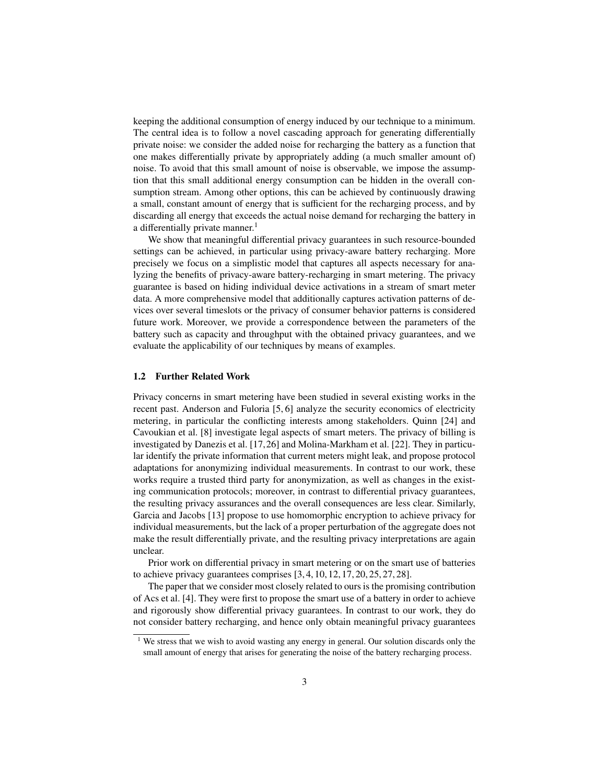keeping the additional consumption of energy induced by our technique to a minimum. The central idea is to follow a novel cascading approach for generating differentially private noise: we consider the added noise for recharging the battery as a function that one makes differentially private by appropriately adding (a much smaller amount of) noise. To avoid that this small amount of noise is observable, we impose the assumption that this small additional energy consumption can be hidden in the overall consumption stream. Among other options, this can be achieved by continuously drawing a small, constant amount of energy that is sufficient for the recharging process, and by discarding all energy that exceeds the actual noise demand for recharging the battery in a differentially private manner.<sup>1</sup>

We show that meaningful differential privacy guarantees in such resource-bounded settings can be achieved, in particular using privacy-aware battery recharging. More precisely we focus on a simplistic model that captures all aspects necessary for analyzing the benefits of privacy-aware battery-recharging in smart metering. The privacy guarantee is based on hiding individual device activations in a stream of smart meter data. A more comprehensive model that additionally captures activation patterns of devices over several timeslots or the privacy of consumer behavior patterns is considered future work. Moreover, we provide a correspondence between the parameters of the battery such as capacity and throughput with the obtained privacy guarantees, and we evaluate the applicability of our techniques by means of examples.

### 1.2 Further Related Work

Privacy concerns in smart metering have been studied in several existing works in the recent past. Anderson and Fuloria [5, 6] analyze the security economics of electricity metering, in particular the conflicting interests among stakeholders. Quinn [24] and Cavoukian et al. [8] investigate legal aspects of smart meters. The privacy of billing is investigated by Danezis et al. [17,26] and Molina-Markham et al. [22]. They in particular identify the private information that current meters might leak, and propose protocol adaptations for anonymizing individual measurements. In contrast to our work, these works require a trusted third party for anonymization, as well as changes in the existing communication protocols; moreover, in contrast to differential privacy guarantees, the resulting privacy assurances and the overall consequences are less clear. Similarly, Garcia and Jacobs [13] propose to use homomorphic encryption to achieve privacy for individual measurements, but the lack of a proper perturbation of the aggregate does not make the result differentially private, and the resulting privacy interpretations are again unclear.

Prior work on differential privacy in smart metering or on the smart use of batteries to achieve privacy guarantees comprises [3, 4, 10, 12, 17, 20, 25, 27, 28].

The paper that we consider most closely related to ours is the promising contribution of Acs et al. [4]. They were first to propose the smart use of a battery in order to achieve and rigorously show differential privacy guarantees. In contrast to our work, they do not consider battery recharging, and hence only obtain meaningful privacy guarantees

<sup>&</sup>lt;sup>1</sup> We stress that we wish to avoid wasting any energy in general. Our solution discards only the small amount of energy that arises for generating the noise of the battery recharging process.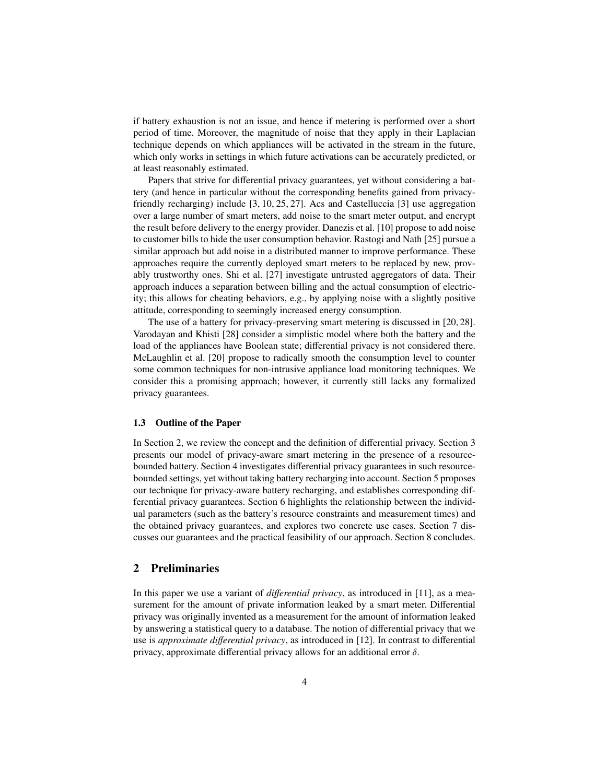if battery exhaustion is not an issue, and hence if metering is performed over a short period of time. Moreover, the magnitude of noise that they apply in their Laplacian technique depends on which appliances will be activated in the stream in the future, which only works in settings in which future activations can be accurately predicted, or at least reasonably estimated.

Papers that strive for differential privacy guarantees, yet without considering a battery (and hence in particular without the corresponding benefits gained from privacyfriendly recharging) include [3, 10, 25, 27]. Acs and Castelluccia [3] use aggregation over a large number of smart meters, add noise to the smart meter output, and encrypt the result before delivery to the energy provider. Danezis et al. [10] propose to add noise to customer bills to hide the user consumption behavior. Rastogi and Nath [25] pursue a similar approach but add noise in a distributed manner to improve performance. These approaches require the currently deployed smart meters to be replaced by new, provably trustworthy ones. Shi et al. [27] investigate untrusted aggregators of data. Their approach induces a separation between billing and the actual consumption of electricity; this allows for cheating behaviors, e.g., by applying noise with a slightly positive attitude, corresponding to seemingly increased energy consumption.

The use of a battery for privacy-preserving smart metering is discussed in [20, 28]. Varodayan and Khisti [28] consider a simplistic model where both the battery and the load of the appliances have Boolean state; differential privacy is not considered there. McLaughlin et al. [20] propose to radically smooth the consumption level to counter some common techniques for non-intrusive appliance load monitoring techniques. We consider this a promising approach; however, it currently still lacks any formalized privacy guarantees.

#### 1.3 Outline of the Paper

In Section 2, we review the concept and the definition of differential privacy. Section 3 presents our model of privacy-aware smart metering in the presence of a resourcebounded battery. Section 4 investigates differential privacy guarantees in such resourcebounded settings, yet without taking battery recharging into account. Section 5 proposes our technique for privacy-aware battery recharging, and establishes corresponding differential privacy guarantees. Section 6 highlights the relationship between the individual parameters (such as the battery's resource constraints and measurement times) and the obtained privacy guarantees, and explores two concrete use cases. Section 7 discusses our guarantees and the practical feasibility of our approach. Section 8 concludes.

# 2 Preliminaries

In this paper we use a variant of *di*ff*erential privacy*, as introduced in [11], as a measurement for the amount of private information leaked by a smart meter. Differential privacy was originally invented as a measurement for the amount of information leaked by answering a statistical query to a database. The notion of differential privacy that we use is *approximate di*ff*erential privacy*, as introduced in [12]. In contrast to differential privacy, approximate differential privacy allows for an additional error  $\delta$ .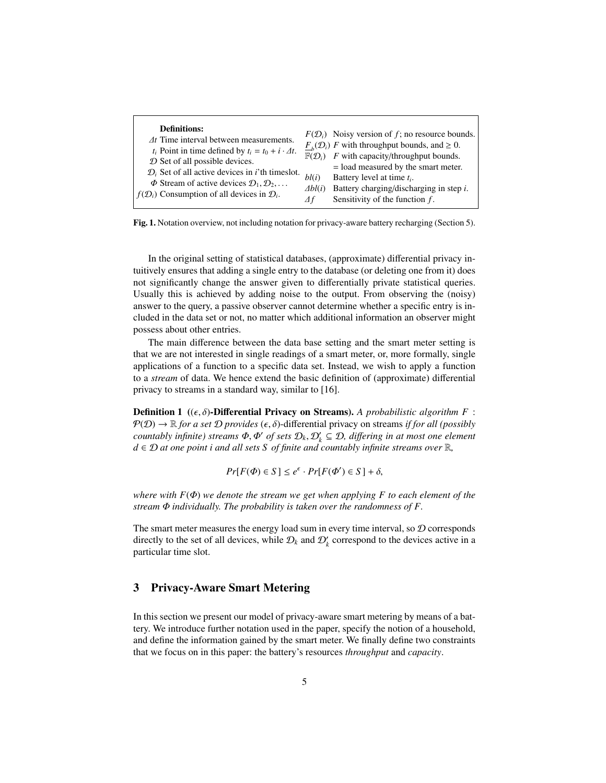| <b>Definitions:</b><br>$\Delta t$ Time interval between measurements.<br>$t_i$ Point in time defined by $t_i = t_0 + i \cdot \Delta t$ .<br>$D$ Set of all possible devices.<br>$\mathcal{D}_i$ Set of all active devices in <i>i</i> 'th timeslot.<br>$\Phi$ Stream of active devices $\mathcal{D}_1, \mathcal{D}_2, \dots$<br>$f(\mathcal{D}_i)$ Consumption of all devices in $\mathcal{D}_i$ . | $F(\mathcal{D}_i)$ Noisy version of f; no resource bounds.<br>$\underline{F}_h(\mathcal{D}_i)$ F with throughput bounds, and $\geq 0$ .<br><i>F</i> with capacity/throughput bounds.<br>$F(D_i)$<br>$=$ load measured by the smart meter.<br>Battery level at time $t_i$ .<br>bl(i)<br>Battery charging/discharging in step <i>i</i> .<br>$\Delta bl(i)$<br>Sensitivity of the function $f$ .<br>Δf |
|----------------------------------------------------------------------------------------------------------------------------------------------------------------------------------------------------------------------------------------------------------------------------------------------------------------------------------------------------------------------------------------------------|-----------------------------------------------------------------------------------------------------------------------------------------------------------------------------------------------------------------------------------------------------------------------------------------------------------------------------------------------------------------------------------------------------|
|----------------------------------------------------------------------------------------------------------------------------------------------------------------------------------------------------------------------------------------------------------------------------------------------------------------------------------------------------------------------------------------------------|-----------------------------------------------------------------------------------------------------------------------------------------------------------------------------------------------------------------------------------------------------------------------------------------------------------------------------------------------------------------------------------------------------|

Fig. 1. Notation overview, not including notation for privacy-aware battery recharging (Section 5).

In the original setting of statistical databases, (approximate) differential privacy intuitively ensures that adding a single entry to the database (or deleting one from it) does not significantly change the answer given to differentially private statistical queries. Usually this is achieved by adding noise to the output. From observing the (noisy) answer to the query, a passive observer cannot determine whether a specific entry is included in the data set or not, no matter which additional information an observer might possess about other entries.

The main difference between the data base setting and the smart meter setting is that we are not interested in single readings of a smart meter, or, more formally, single applications of a function to a specific data set. Instead, we wish to apply a function to a *stream* of data. We hence extend the basic definition of (approximate) differential privacy to streams in a standard way, similar to [16].

**Definition 1** ((ε, δ)-**Differential Privacy on Streams).** *A probabilistic algorithm F* :  $P(D) \rightarrow \mathbb{R}$  *for a set*  $D$  *provides* ( $\epsilon$ ,  $\delta$ )-differential privacy on streams *if for all (possibly countably infinite) streams*  $\Phi$ ,  $\Phi'$  *of sets*  $\mathcal{D}_k$ ,  $\mathcal{D}'_k \subseteq \mathcal{D}$ , differing in at most one element<br> $d \in \mathcal{D}$  at one point *i* and all sets S of finite and countably infinite streams over  $\mathbb{R}$ *d* ∈ D *at one point i and all sets S of finite and countably infinite streams over* R*,*

$$
Pr[F(\Phi) \in S] \le e^{\epsilon} \cdot Pr[F(\Phi') \in S] + \delta,
$$

*where with F*(Φ) *we denote the stream we get when applying F to each element of the stream* Φ *individually. The probability is taken over the randomness of F.*

The smart meter measures the energy load sum in every time interval, so  $D$  corresponds directly to the set of all devices, while  $\mathcal{D}_k$  and  $\mathcal{D}'_k$  correspond to the devices active in a particular time slot.

# 3 Privacy-Aware Smart Metering

In this section we present our model of privacy-aware smart metering by means of a battery. We introduce further notation used in the paper, specify the notion of a household, and define the information gained by the smart meter. We finally define two constraints that we focus on in this paper: the battery's resources *throughput* and *capacity*.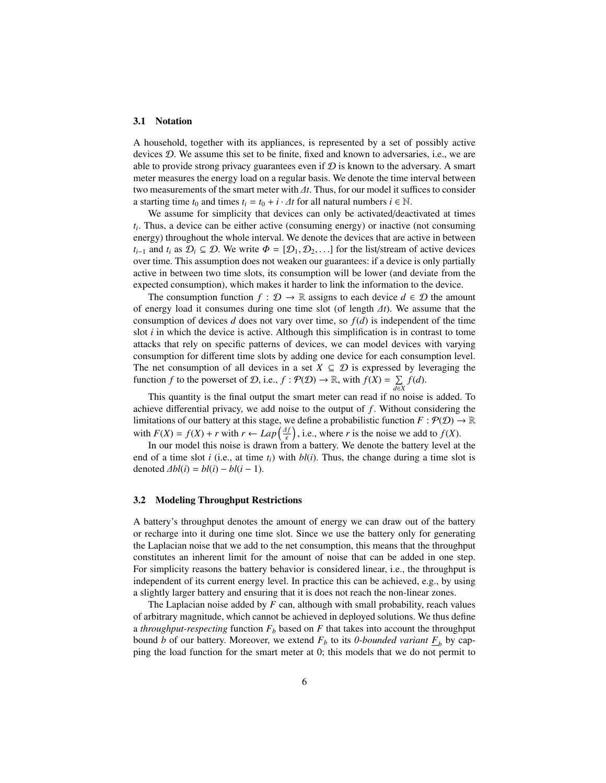#### 3.1 Notation

A household, together with its appliances, is represented by a set of possibly active devices D. We assume this set to be finite, fixed and known to adversaries, i.e., we are able to provide strong privacy guarantees even if  $\mathcal D$  is known to the adversary. A smart meter measures the energy load on a regular basis. We denote the time interval between two measurements of the smart meter with ∆*t*. Thus, for our model it suffices to consider a starting time  $t_0$  and times  $t_i = t_0 + i \cdot \Delta t$  for all natural numbers  $i \in \mathbb{N}$ .

We assume for simplicity that devices can only be activated/deactivated at times *ti* . Thus, a device can be either active (consuming energy) or inactive (not consuming energy) throughout the whole interval. We denote the devices that are active in between *t*<sub>*i*−1</sub> and *t*<sub>*i*</sub> as  $\mathcal{D}_i$  ⊆  $\mathcal{D}$ . We write  $\Phi = [\mathcal{D}_1, \mathcal{D}_2, \ldots]$  for the list/stream of active devices over time. This assumption does not weaken our guarantees: if a device is only partially active in between two time slots, its consumption will be lower (and deviate from the expected consumption), which makes it harder to link the information to the device.

The consumption function  $f : \mathcal{D} \to \mathbb{R}$  assigns to each device  $d \in \mathcal{D}$  the amount of energy load it consumes during one time slot (of length ∆*t*). We assume that the consumption of devices *d* does not vary over time, so  $f(d)$  is independent of the time slot *i* in which the device is active. Although this simplification is in contrast to tome attacks that rely on specific patterns of devices, we can model devices with varying consumption for different time slots by adding one device for each consumption level. The net consumption of all devices in a set  $X \subseteq \mathcal{D}$  is expressed by leveraging the function *f* to the powerset of  $\mathcal{D}$ , i.e.,  $f : \mathcal{P}(\mathcal{D}) \to \mathbb{R}$ , with  $f(X) = \sum_{d \in X} f(d)$ .

This quantity is the final output the smart meter can read if no noise is added. To achieve differential privacy, we add noise to the output of *f* . Without considering the limitations of our battery at this stage, we define a probabilistic function  $F : \mathcal{P}(\mathcal{D}) \to \mathbb{R}$ with  $F(X) = f(X) + r$  with  $r \leftarrow Lap\left(\frac{df}{\epsilon}\right)$ , i.e., where *r* is the noise we add to  $f(X)$ .<br>In our model this noise is drawn from a battery. We denote the battery level at

 In our model this noise is drawn from a battery. We denote the battery level at the end of a time slot *i* (i.e., at time  $t_i$ ) with  $bl(i)$ . Thus, the change during a time slot is denoted  $\Delta bl(i) = bl(i) - bl(i-1)$ .

#### 3.2 Modeling Throughput Restrictions

A battery's throughput denotes the amount of energy we can draw out of the battery or recharge into it during one time slot. Since we use the battery only for generating the Laplacian noise that we add to the net consumption, this means that the throughput constitutes an inherent limit for the amount of noise that can be added in one step. For simplicity reasons the battery behavior is considered linear, i.e., the throughput is independent of its current energy level. In practice this can be achieved, e.g., by using a slightly larger battery and ensuring that it is does not reach the non-linear zones.

The Laplacian noise added by *F* can, although with small probability, reach values of arbitrary magnitude, which cannot be achieved in deployed solutions. We thus define a *throughput-respecting* function  $F_b$  based on  $F$  that takes into account the throughput bound *b* of our battery. Moreover, we extend  $F_b$  to its *0-bounded variant*  $\underline{F}_b$  by capping the load function for the smart meter at 0; this models that we do not permit to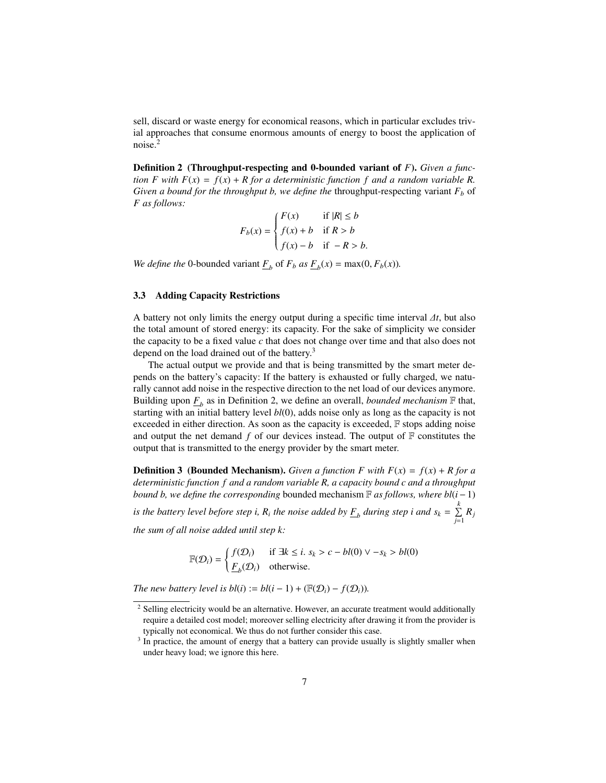sell, discard or waste energy for economical reasons, which in particular excludes trivial approaches that consume enormous amounts of energy to boost the application of noise.<sup>2</sup>

Definition 2 (Throughput-respecting and 0-bounded variant of *F*). *Given a function F with*  $F(x) = f(x) + R$  *for a deterministic function f and a random variable R. Given a bound for the throughput b, we define the throughput-respecting variant*  $F_b$  *of F as follows:*

$$
F_b(x) = \begin{cases} F(x) & \text{if } |R| \le b \\ f(x) + b & \text{if } R > b \\ f(x) - b & \text{if } -R > b. \end{cases}
$$

*We define the* 0-bounded variant  $\underline{F}_b$  of  $F_b$  *as*  $\underline{F}_b(x) = \max(0, F_b(x))$ *.* 

#### 3.3 Adding Capacity Restrictions

A battery not only limits the energy output during a specific time interval ∆*t*, but also the total amount of stored energy: its capacity. For the sake of simplicity we consider the capacity to be a fixed value *c* that does not change over time and that also does not depend on the load drained out of the battery.<sup>3</sup>

The actual output we provide and that is being transmitted by the smart meter depends on the battery's capacity: If the battery is exhausted or fully charged, we naturally cannot add noise in the respective direction to the net load of our devices anymore. Building upon  $\underline{F}_b$  as in Definition 2, we define an overall, *bounded mechanism*  $\mathbb F$  that, starting with an initial battery level *bl*(0), adds noise only as long as the capacity is not exceeded in either direction. As soon as the capacity is exceeded, F stops adding noise and output the net demand  $f$  of our devices instead. The output of  $F$  constitutes the output that is transmitted to the energy provider by the smart meter.

**Definition 3 (Bounded Mechanism).** *Given a function F with*  $F(x) = f(x) + R$  *for a deterministic function f and a random variable R, a capacity bound c and a throughput bound b, we define the corresponding* bounded mechanism F *as follows, where bl*(*i*−1)

*is the battery level before step i, R<sub>i</sub> the noise added by*  $\underline{F}_b$  *during step i and*  $s_k = \sum_{k=1}^k$  $\sum_{j=1}$   $R_j$ 

*the sum of all noise added until step k:*

$$
\mathbb{F}(\mathcal{D}_i) = \begin{cases} f(\mathcal{D}_i) & \text{if } \exists k \le i. \ s_k > c - bl(0) \lor -s_k > bl(0) \\ \underline{F}_b(\mathcal{D}_i) & \text{otherwise.} \end{cases}
$$

*The new battery level is bl*(*i*) :=  $bl(i - 1) + (\mathbb{F}(\mathcal{D}_i) - f(\mathcal{D}_i))$ .

<sup>&</sup>lt;sup>2</sup> Selling electricity would be an alternative. However, an accurate treatment would additionally require a detailed cost model; moreover selling electricity after drawing it from the provider is typically not economical. We thus do not further consider this case.

<sup>&</sup>lt;sup>3</sup> In practice, the amount of energy that a battery can provide usually is slightly smaller when under heavy load; we ignore this here.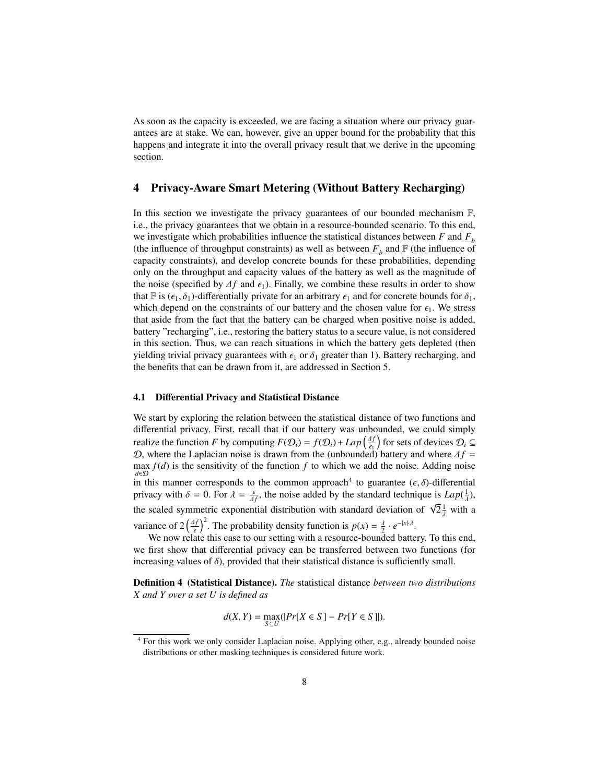As soon as the capacity is exceeded, we are facing a situation where our privacy guarantees are at stake. We can, however, give an upper bound for the probability that this happens and integrate it into the overall privacy result that we derive in the upcoming section.

### 4 Privacy-Aware Smart Metering (Without Battery Recharging)

In this section we investigate the privacy guarantees of our bounded mechanism  $\mathbb{F}$ , i.e., the privacy guarantees that we obtain in a resource-bounded scenario. To this end, we investigate which probabilities influence the statistical distances between  $F$  and  $F<sub>b</sub>$ (the influence of throughput constraints) as well as between  $\underline{F}_b$  and  $\mathbb F$  (the influence of capacity constraints), and develop concrete bounds for these probabilities, depending only on the throughput and capacity values of the battery as well as the magnitude of the noise (specified by  $\Delta f$  and  $\epsilon_1$ ). Finally, we combine these results in order to show that F is  $(\epsilon_1, \delta_1)$ -differentially private for an arbitrary  $\epsilon_1$  and for concrete bounds for  $\delta_1$ , which depend on the constraints of our battery and the chosen value for  $\epsilon_1$ . We stress that aside from the fact that the battery can be charged when positive noise is added, battery "recharging", i.e., restoring the battery status to a secure value, is not considered in this section. Thus, we can reach situations in which the battery gets depleted (then yielding trivial privacy guarantees with  $\epsilon_1$  or  $\delta_1$  greater than 1). Battery recharging, and the benefits that can be drawn from it, are addressed in Section 5.

#### 4.1 Differential Privacy and Statistical Distance

We start by exploring the relation between the statistical distance of two functions and differential privacy. First, recall that if our battery was unbounded, we could simply realize the function *F* by computing  $F(\mathcal{D}_i) = f(\mathcal{D}_i) + Lap\left(\frac{df}{dt}\right)$  $\epsilon_{1}$ for sets of devices  $\mathcal{D}_i$  ⊆ D, where the Laplacian noise is drawn from the (unbounded) battery and where  $\Delta f =$ <br>may  $f(\Delta)$  is the sensitivity of the function f to which we add the noise. Adding noise  $\max_{d \in \mathcal{D}} f(d)$  is the sensitivity of the function *f* to which we add the noise. Adding noise in this manner corresponds to the common approach<sup>4</sup> to guarantee  $(\epsilon, \delta)$ -differential<br>privacy with  $\delta = 0$ . For  $\lambda = \epsilon$ , the noise added by the standard technique is  $Lan(\frac{1}{2})$ privacy with  $\delta = 0$ . For  $\lambda = \frac{\epsilon}{Af}$ , the noise added by the standard technique is  $Lap(\frac{1}{\lambda})$ , the scaled symmetric exponential distribution with standard deviation of  $\sqrt{2}$ <sup>1</sup>/<sub>2</sub> with a variance of  $2\left(\frac{df}{\epsilon}\right)^2$ . The probability density function is  $p(x) = \frac{\lambda}{2} \cdot e^{-|x| \cdot \lambda}$ .

 We now relate this case to our setting with a resource-bounded battery. To this end, we first show that differential privacy can be transferred between two functions (for increasing values of  $\delta$ ), provided that their statistical distance is sufficiently small.

Definition 4 (Statistical Distance). *The* statistical distance *between two distributions X and Y over a set U is defined as*

$$
d(X,Y) = \max_{S \subseteq U} (Pr[X \in S] - Pr[Y \in S]].
$$

<sup>4</sup> For this work we only consider Laplacian noise. Applying other, e.g., already bounded noise distributions or other masking techniques is considered future work.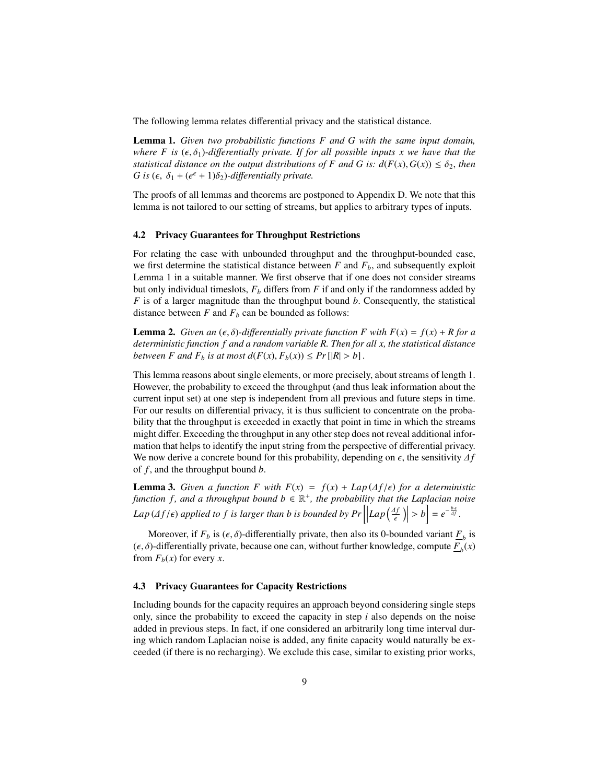The following lemma relates differential privacy and the statistical distance.

Lemma 1. *Given two probabilistic functions F and G with the same input domain, where F is*  $(\epsilon, \delta_1)$ -differentially private. If for all possible inputs x we have that the *statistical distance on the output distributions of F and G is:*  $d(F(x), G(x)) \leq \delta_2$ *, then G* is ( $\epsilon$ ,  $\delta_1 + (e^{\epsilon} + 1)\delta_2$ )-differentially private.

The proofs of all lemmas and theorems are postponed to Appendix D. We note that this lemma is not tailored to our setting of streams, but applies to arbitrary types of inputs.

#### 4.2 Privacy Guarantees for Throughput Restrictions

For relating the case with unbounded throughput and the throughput-bounded case, we first determine the statistical distance between *F* and *Fb*, and subsequently exploit Lemma 1 in a suitable manner. We first observe that if one does not consider streams but only individual timeslots,  $F_b$  differs from  $F$  if and only if the randomness added by *F* is of a larger magnitude than the throughput bound *b*. Consequently, the statistical distance between  $F$  and  $F_b$  can be bounded as follows:

**Lemma 2.** *Given an* ( $\epsilon$ ,  $\delta$ )-differentially private function F with  $F(x) = f(x) + R$  for a *deterministic function f and a random variable R. Then for all x, the statistical distance between F* and  $F_b$  *is at most*  $d(F(x), F_b(x)) \leq Pr[|R| > b]$ .

This lemma reasons about single elements, or more precisely, about streams of length 1. However, the probability to exceed the throughput (and thus leak information about the current input set) at one step is independent from all previous and future steps in time. For our results on differential privacy, it is thus sufficient to concentrate on the probability that the throughput is exceeded in exactly that point in time in which the streams might differ. Exceeding the throughput in any other step does not reveal additional information that helps to identify the input string from the perspective of differential privacy. We now derive a concrete bound for this probability, depending on  $\epsilon$ , the sensitivity  $\Delta f$ of *f* , and the throughput bound *b*.

**Lemma 3.** *Given a function F with*  $F(x) = f(x) + Lap(\Delta f/\epsilon)$  *for a deterministic*  $f$ *unction f, and a throughput bound*  $b \in \mathbb{R}^+$ *, the probability that the Laplacian noise* Lap ( $\Delta f/\epsilon$ ) applied to f is larger than b is bounded by  $Pr\left[\left|Lap\left(\frac{\Delta f}{\epsilon}\right)\right|$  $\left| > b \right| = e^{-\frac{b \epsilon}{Af}}.$ 

Moreover, if  $F_b$  is  $(\epsilon, \delta)$ -differentially private, then also its 0-bounded variant  $F_b$  is 0-bounded variant  $F_b$  is  $(\epsilon, \delta)$ -differentially private, because one can, without further knowledge, compute  $\underline{F}_b(x)$ <br>from  $F_k(x)$  for every x from  $F_b(x)$  for every *x*.

### 4.3 Privacy Guarantees for Capacity Restrictions

Including bounds for the capacity requires an approach beyond considering single steps only, since the probability to exceed the capacity in step *i* also depends on the noise added in previous steps. In fact, if one considered an arbitrarily long time interval during which random Laplacian noise is added, any finite capacity would naturally be exceeded (if there is no recharging). We exclude this case, similar to existing prior works,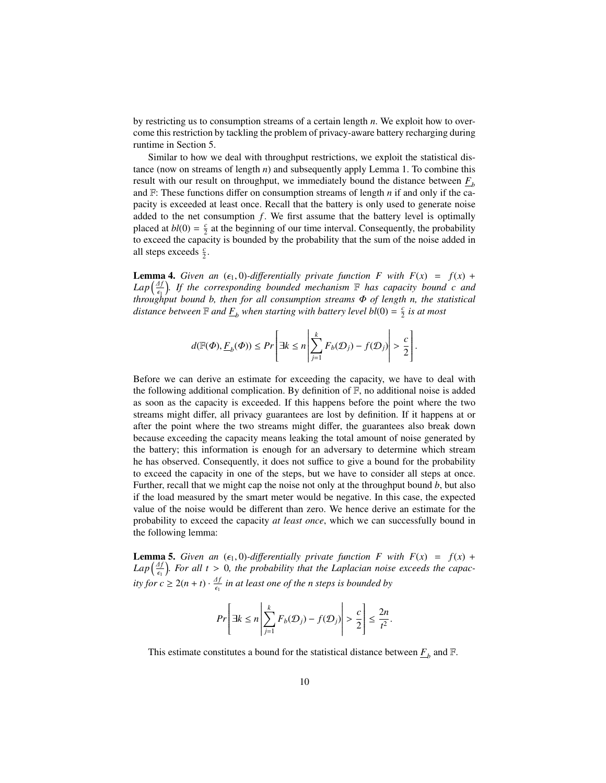by restricting us to consumption streams of a certain length *n*. We exploit how to overcome this restriction by tackling the problem of privacy-aware battery recharging during runtime in Section 5.

Similar to how we deal with throughput restrictions, we exploit the statistical distance (now on streams of length *n*) and subsequently apply Lemma 1. To combine this result with our result on throughput, we immediately bound the distance between  $F<sub>b</sub>$ and F: These functions differ on consumption streams of length *n* if and only if the capacity is exceeded at least once. Recall that the battery is only used to generate noise added to the net consumption  $f$ . We first assume that the battery level is optimally placed at  $bl(0) = \frac{c}{2}$  at the beginning of our time interval. Consequently, the probability to exceed the capacity is bounded by the probability that the sum of the noise added in all steps exceeds  $\frac{c}{2}$ .

**Lemma 4.** *Given an* ( $\epsilon_1$ , 0)*-differentially private function* F with  $F(x) = f(x) + f(x)$  $Lap\left(\frac{df}{dx}\right)$ . If the corresponding bounded mechanism **F** has capacity bound c and *throughput bound b, then for all consumption streams*  $\Phi$  *of length n, the statistical*<br>distance between  $\mathbb{E}$  and  $\mathbb{E}$  when statting with battery level bl(0) –  $\frac{c}{n}$  is at most *distance between*  $\mathbb F$  *and*  $\underline{F}_b$  *when starting with battery level bl*(0) =  $\frac{c}{2}$  *is at most* 

$$
d(\mathbb{F}(\Phi), \underline{F}_b(\Phi)) \leq Pr \left[ \exists k \leq n \left| \sum_{j=1}^k F_b(\mathcal{D}_j) - f(\mathcal{D}_j) \right| > \frac{c}{2} \right].
$$

Before we can derive an estimate for exceeding the capacity, we have to deal with the following additional complication. By definition of  $F$ , no additional noise is added as soon as the capacity is exceeded. If this happens before the point where the two streams might differ, all privacy guarantees are lost by definition. If it happens at or after the point where the two streams might differ, the guarantees also break down because exceeding the capacity means leaking the total amount of noise generated by the battery; this information is enough for an adversary to determine which stream he has observed. Consequently, it does not suffice to give a bound for the probability to exceed the capacity in one of the steps, but we have to consider all steps at once. Further, recall that we might cap the noise not only at the throughput bound *b*, but also if the load measured by the smart meter would be negative. In this case, the expected value of the noise would be different than zero. We hence derive an estimate for the probability to exceed the capacity *at least once*, which we can successfully bound in the following lemma:

**Lemma 5.** *Given an* ( $\epsilon_1$ , 0)*-differentially private function F with*  $F(x) = f(x) + f(x)$  $Lap\left(\frac{df}{\epsilon_1}\right)$ . For all  $t > 0$ , the probability that the Laplacian noise exceeds the capac $ity for c \geq 2(n+t) \cdot \frac{4f}{6}$  $\epsilon$ <sub>1</sub> *in at least one of the n steps is bounded by*

$$
Pr\left[\exists k \leq n \left| \sum_{j=1}^{k} F_b(\mathcal{D}_j) - f(\mathcal{D}_j) \right| > \frac{c}{2} \right] \leq \frac{2n}{t^2}.
$$

This estimate constitutes a bound for the statistical distance between  $\underline{F}_b$  and  $\mathbb{F}_c$ .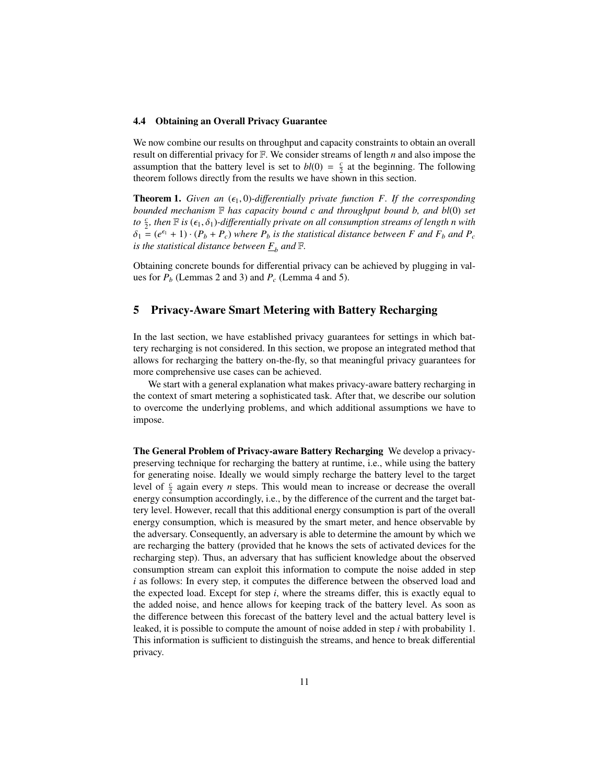#### 4.4 Obtaining an Overall Privacy Guarantee

We now combine our results on throughput and capacity constraints to obtain an overall result on differential privacy for F. We consider streams of length *n* and also impose the assumption that the battery level is set to  $bl(0) = \frac{c}{2}$  at the beginning. The following theorem follows directly from the results we have shown in this section.

**Theorem 1.** *Given an*  $(\epsilon_1, 0)$ *-differentially private function F. If the corresponding bounded mechanism* F *has capacity bound c and throughput bound b, and bl*(0) *set to*  $\frac{c}{2}$ , then  $\mathbb{F}$  *is* ( $\epsilon_1$ ,  $\delta_1$ )*-differentially private on all consumption streams of length n with*<br> $\delta_1 - (e^{\epsilon_1} + 1) \cdot (P_1 + P_1)$  where  $P_2$  is the statistical distance between  $F$  and  $F_3$  and  $P_$  $\delta_1 = (e^{\epsilon_1} + 1) \cdot (P_b + P_c)$  where  $P_b$  is the statistical distance between F and  $F_b$  and  $P_c$  is the statistical distance between  $F$  and  $\mathbb{R}$ *is the statistical distance between*  $\underline{F}_b$  and  $\mathbb{F}_a$ .

Obtaining concrete bounds for differential privacy can be achieved by plugging in values for  $P_b$  (Lemmas 2 and 3) and  $P_c$  (Lemma 4 and 5).

# 5 Privacy-Aware Smart Metering with Battery Recharging

In the last section, we have established privacy guarantees for settings in which battery recharging is not considered. In this section, we propose an integrated method that allows for recharging the battery on-the-fly, so that meaningful privacy guarantees for more comprehensive use cases can be achieved.

We start with a general explanation what makes privacy-aware battery recharging in the context of smart metering a sophisticated task. After that, we describe our solution to overcome the underlying problems, and which additional assumptions we have to impose.

The General Problem of Privacy-aware Battery Recharging We develop a privacypreserving technique for recharging the battery at runtime, i.e., while using the battery for generating noise. Ideally we would simply recharge the battery level to the target level of  $\frac{c}{2}$  again every *n* steps. This would mean to increase or decrease the overall energy consumption accordingly, i.e., by the difference of the current and the target battery level. However, recall that this additional energy consumption is part of the overall energy consumption, which is measured by the smart meter, and hence observable by the adversary. Consequently, an adversary is able to determine the amount by which we are recharging the battery (provided that he knows the sets of activated devices for the recharging step). Thus, an adversary that has sufficient knowledge about the observed consumption stream can exploit this information to compute the noise added in step *i* as follows: In every step, it computes the difference between the observed load and the expected load. Except for step *i*, where the streams differ, this is exactly equal to the added noise, and hence allows for keeping track of the battery level. As soon as the difference between this forecast of the battery level and the actual battery level is leaked, it is possible to compute the amount of noise added in step *i* with probability 1. This information is sufficient to distinguish the streams, and hence to break differential privacy.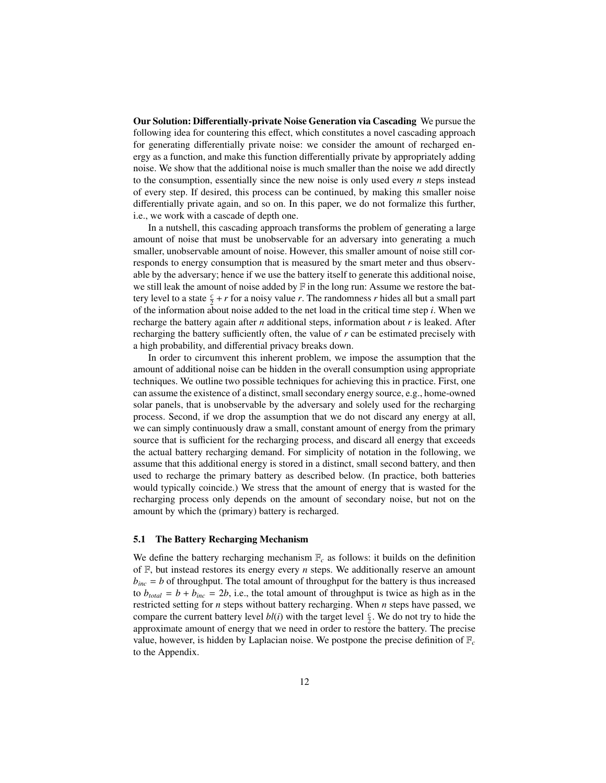Our Solution: Differentially-private Noise Generation via Cascading We pursue the following idea for countering this effect, which constitutes a novel cascading approach for generating differentially private noise: we consider the amount of recharged energy as a function, and make this function differentially private by appropriately adding noise. We show that the additional noise is much smaller than the noise we add directly to the consumption, essentially since the new noise is only used every *n* steps instead of every step. If desired, this process can be continued, by making this smaller noise differentially private again, and so on. In this paper, we do not formalize this further, i.e., we work with a cascade of depth one.

In a nutshell, this cascading approach transforms the problem of generating a large amount of noise that must be unobservable for an adversary into generating a much smaller, unobservable amount of noise. However, this smaller amount of noise still corresponds to energy consumption that is measured by the smart meter and thus observable by the adversary; hence if we use the battery itself to generate this additional noise, we still leak the amount of noise added by  $\mathbb F$  in the long run: Assume we restore the battery level to a state  $\frac{c}{2} + r$  for a noisy value *r*. The randomness *r* hides all but a small part of the information about noise added to the net load in the critical time step *i*. When we recharge the battery again after *n* additional steps, information about *r* is leaked. After recharging the battery sufficiently often, the value of *r* can be estimated precisely with a high probability, and differential privacy breaks down.

In order to circumvent this inherent problem, we impose the assumption that the amount of additional noise can be hidden in the overall consumption using appropriate techniques. We outline two possible techniques for achieving this in practice. First, one can assume the existence of a distinct, small secondary energy source, e.g., home-owned solar panels, that is unobservable by the adversary and solely used for the recharging process. Second, if we drop the assumption that we do not discard any energy at all, we can simply continuously draw a small, constant amount of energy from the primary source that is sufficient for the recharging process, and discard all energy that exceeds the actual battery recharging demand. For simplicity of notation in the following, we assume that this additional energy is stored in a distinct, small second battery, and then used to recharge the primary battery as described below. (In practice, both batteries would typically coincide.) We stress that the amount of energy that is wasted for the recharging process only depends on the amount of secondary noise, but not on the amount by which the (primary) battery is recharged.

#### 5.1 The Battery Recharging Mechanism

We define the battery recharging mechanism  $\mathbb{F}_c$  as follows: it builds on the definition of F, but instead restores its energy every *n* steps. We additionally reserve an amount  $b_{inc} = b$  of throughput. The total amount of throughput for the battery is thus increased to  $b_{total} = b + b_{inc} = 2b$ , i.e., the total amount of throughput is twice as high as in the restricted setting for *n* steps without battery recharging. When *n* steps have passed, we compare the current battery level  $bl(i)$  with the target level  $\frac{c}{2}$ . We do not try to hide the approximate amount of energy that we need in order to restore the battery. The precise value, however, is hidden by Laplacian noise. We postpone the precise definition of  $\mathbb{F}_c$ to the Appendix.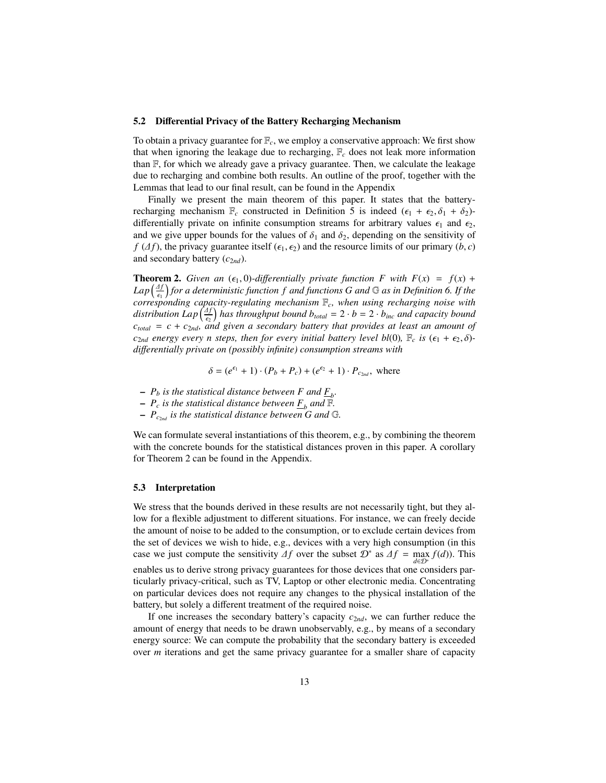#### 5.2 Differential Privacy of the Battery Recharging Mechanism

To obtain a privacy guarantee for  $\mathbb{F}_c$ , we employ a conservative approach: We first show that when ignoring the leakage due to recharging,  $\mathbb{F}_c$  does not leak more information than F, for which we already gave a privacy guarantee. Then, we calculate the leakage due to recharging and combine both results. An outline of the proof, together with the Lemmas that lead to our final result, can be found in the Appendix

Finally we present the main theorem of this paper. It states that the batteryrecharging mechanism  $\mathbb{F}_c$  constructed in Definition 5 is indeed  $(\epsilon_1 + \epsilon_2, \delta_1 + \delta_2)$ differentially private on infinite consumption streams for arbitrary values  $\epsilon_1$  and  $\epsilon_2$ , and we give upper bounds for the values of  $\delta_1$  and  $\delta_2$ , depending on the sensitivity of *f* ( $\Delta f$ ), the privacy guarantee itself ( $\epsilon_1$ ,  $\epsilon_2$ ) and the resource limits of our primary (*b*, *c*) and secondary battery  $(c_{2nd})$ .

**Theorem 2.** *Given an* ( $\epsilon_1$ , 0)*-differentially private function* F with  $F(x) = f(x) +$  $Lap\left(\frac{df}{f}\right)$  for a deterministic function f and functions G and G as in Definition 6. If the 1 *corresponding capacity-regulating mechanism* F*c, when using recharging noise with*  $distri$ *bution*  $Lap \left(\frac{4f}{6} \right)$  $\frac{\epsilon_2}{a}$ *has throughput bound*  $b_{total} = 2 \cdot b = 2 \cdot b_{inc}$  *and capacity bound*  $c_{total} = c + c_{2nd}$ *, and given a secondary battery that provides at least an amount of*  $c_{2nd}$  *energy every n steps, then for every initial battery level bl(0),*  $\mathbb{F}_c$  *is* ( $\epsilon_1 + \epsilon_2$ ,  $\delta$ )*di*ff*erentially private on (possibly infinite) consumption streams with*

$$
\delta = (e^{\epsilon_1} + 1) \cdot (P_b + P_c) + (e^{\epsilon_2} + 1) \cdot P_{c_{2nd}}, \text{ where}
$$

 $P_b$  *is the statistical distance between F and*  $\underline{F}_b$ .

- $P_c$  *is the statistical distance between*  $\underline{F}_b$  and  $\overline{F}_c$ .
- $P_{c_{2nd}}$  *is the statistical distance between G and* G.

We can formulate several instantiations of this theorem, e.g., by combining the theorem with the concrete bounds for the statistical distances proven in this paper. A corollary for Theorem 2 can be found in the Appendix.

#### 5.3 Interpretation

We stress that the bounds derived in these results are not necessarily tight, but they allow for a flexible adjustment to different situations. For instance, we can freely decide the amount of noise to be added to the consumption, or to exclude certain devices from the set of devices we wish to hide, e.g., devices with a very high consumption (in this case we just compute the sensitivity  $\Delta f$  over the subset  $\mathcal{D}^*$  as  $\Delta f = \max_{d \in \mathcal{D}^*} f(d)$ . This enables us to derive strong privacy guarantees for those devices that one considers particularly privacy-critical, such as TV, Laptop or other electronic media. Concentrating on particular devices does not require any changes to the physical installation of the battery, but solely a different treatment of the required noise.

If one increases the secondary battery's capacity  $c_{2nd}$ , we can further reduce the amount of energy that needs to be drawn unobservably, e.g., by means of a secondary energy source: We can compute the probability that the secondary battery is exceeded over *m* iterations and get the same privacy guarantee for a smaller share of capacity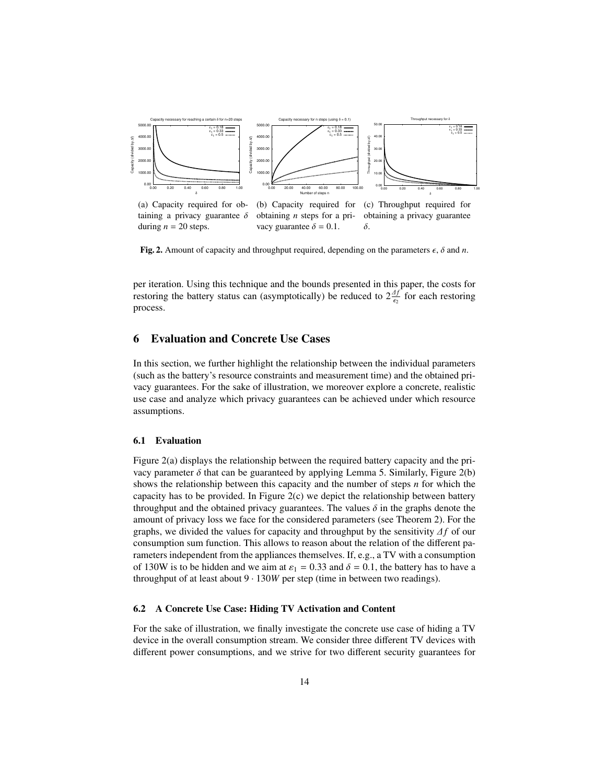

Fig. 2. Amount of capacity and throughput required, depending on the parameters  $\epsilon$ ,  $\delta$  and *n*.

per iteration. Using this technique and the bounds presented in this paper, the costs for restoring the battery status can (asymptotically) be reduced to  $2\frac{df}{\epsilon_2}$  for each restoring process.

# 6 Evaluation and Concrete Use Cases

In this section, we further highlight the relationship between the individual parameters (such as the battery's resource constraints and measurement time) and the obtained privacy guarantees. For the sake of illustration, we moreover explore a concrete, realistic use case and analyze which privacy guarantees can be achieved under which resource assumptions.

#### 6.1 Evaluation

Figure 2(a) displays the relationship between the required battery capacity and the privacy parameter  $\delta$  that can be guaranteed by applying Lemma 5. Similarly, Figure 2(b) shows the relationship between this capacity and the number of steps *n* for which the capacity has to be provided. In Figure 2(c) we depict the relationship between battery throughput and the obtained privacy guarantees. The values  $\delta$  in the graphs denote the amount of privacy loss we face for the considered parameters (see Theorem 2). For the graphs, we divided the values for capacity and throughput by the sensitivity ∆*f* of our consumption sum function. This allows to reason about the relation of the different parameters independent from the appliances themselves. If, e.g., a TV with a consumption of 130W is to be hidden and we aim at  $\varepsilon_1 = 0.33$  and  $\delta = 0.1$ , the battery has to have a throughput of at least about  $9 \cdot 130W$  per step (time in between two readings).

# 6.2 A Concrete Use Case: Hiding TV Activation and Content

For the sake of illustration, we finally investigate the concrete use case of hiding a TV device in the overall consumption stream. We consider three different TV devices with different power consumptions, and we strive for two different security guarantees for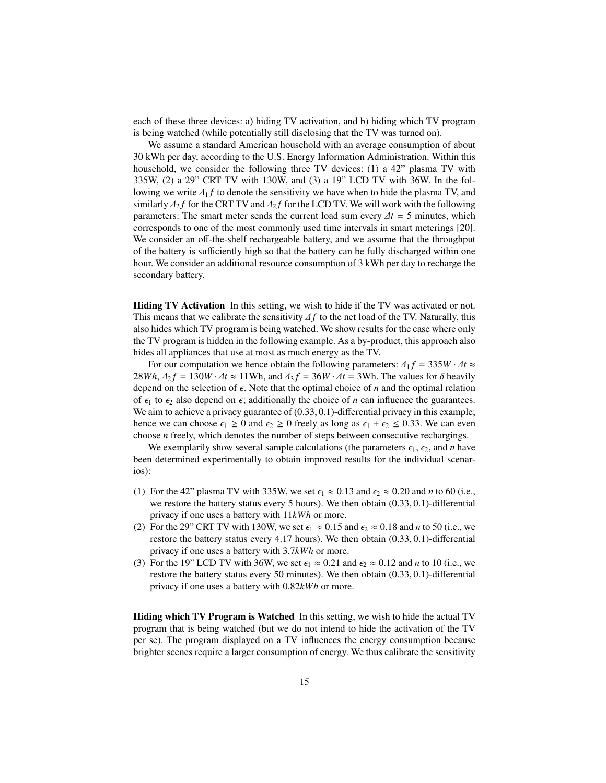each of these three devices: a) hiding TV activation, and b) hiding which TV program is being watched (while potentially still disclosing that the TV was turned on).

We assume a standard American household with an average consumption of about 30 kWh per day, according to the U.S. Energy Information Administration. Within this household, we consider the following three TV devices: (1) a 42" plasma TV with 335W, (2) a 29" CRT TV with 130W, and (3) a 19" LCD TV with 36W. In the following we write <sup>∆</sup><sup>1</sup> *<sup>f</sup>* to denote the sensitivity we have when to hide the plasma TV, and similarly <sup>∆</sup><sup>2</sup> *<sup>f</sup>* for the CRT TV and <sup>∆</sup><sup>2</sup> *<sup>f</sup>* for the LCD TV. We will work with the following parameters: The smart meter sends the current load sum every  $\Delta t = 5$  minutes, which corresponds to one of the most commonly used time intervals in smart meterings [20]. We consider an off-the-shelf rechargeable battery, and we assume that the throughput of the battery is sufficiently high so that the battery can be fully discharged within one hour. We consider an additional resource consumption of 3 kWh per day to recharge the secondary battery.

Hiding TV Activation In this setting, we wish to hide if the TV was activated or not. This means that we calibrate the sensitivity ∆ *<sup>f</sup>* to the net load of the TV. Naturally, this also hides which TV program is being watched. We show results for the case where only the TV program is hidden in the following example. As a by-product, this approach also hides all appliances that use at most as much energy as the TV.

For our computation we hence obtain the following parameters:  $\Delta_1 f = 335W \cdot \Delta t \approx$  $28Wh$ ,  $\Delta_2 f = 130W \cdot \Delta t \approx 11Wh$ , and  $\Delta_3 f = 36W \cdot \Delta t = 3Wh$ . The values for  $\delta$  heavily depend on the selection of  $\epsilon$ . Note that the optimal choice of *n* and the optimal relation of  $\epsilon_1$  to  $\epsilon_2$  also depend on  $\epsilon$ ; additionally the choice of *n* can influence the guarantees. We aim to achieve a privacy guarantee of  $(0.33, 0.1)$ -differential privacy in this example; hence we can choose  $\epsilon_1 \ge 0$  and  $\epsilon_2 \ge 0$  freely as long as  $\epsilon_1 + \epsilon_2 \le 0.33$ . We can even choose *n* freely, which denotes the number of steps between consecutive rechargings.

We exemplarily show several sample calculations (the parameters  $\epsilon_1$ ,  $\epsilon_2$ , and *n* have been determined experimentally to obtain improved results for the individual scenarios):

- (1) For the 42" plasma TV with 335W, we set  $\epsilon_1 \approx 0.13$  and  $\epsilon_2 \approx 0.20$  and *n* to 60 (i.e., we restore the battery status every 5 hours). We then obtain (0.33, <sup>0</sup>.1)-differential privacy if one uses a battery with 11*kWh* or more.
- (2) For the 29" CRT TV with 130W, we set  $\epsilon_1 \approx 0.15$  and  $\epsilon_2 \approx 0.18$  and *n* to 50 (i.e., we restore the battery status every 4.17 hours). We then obtain (0.33, <sup>0</sup>.1)-differential privacy if one uses a battery with 3.7*kWh* or more.
- (3) For the 19" LCD TV with 36W, we set  $\epsilon_1 \approx 0.21$  and  $\epsilon_2 \approx 0.12$  and *n* to 10 (i.e., we restore the battery status every 50 minutes). We then obtain (0.33, <sup>0</sup>.1)-differential privacy if one uses a battery with 0.82*kWh* or more.

Hiding which TV Program is Watched In this setting, we wish to hide the actual TV program that is being watched (but we do not intend to hide the activation of the TV per se). The program displayed on a TV influences the energy consumption because brighter scenes require a larger consumption of energy. We thus calibrate the sensitivity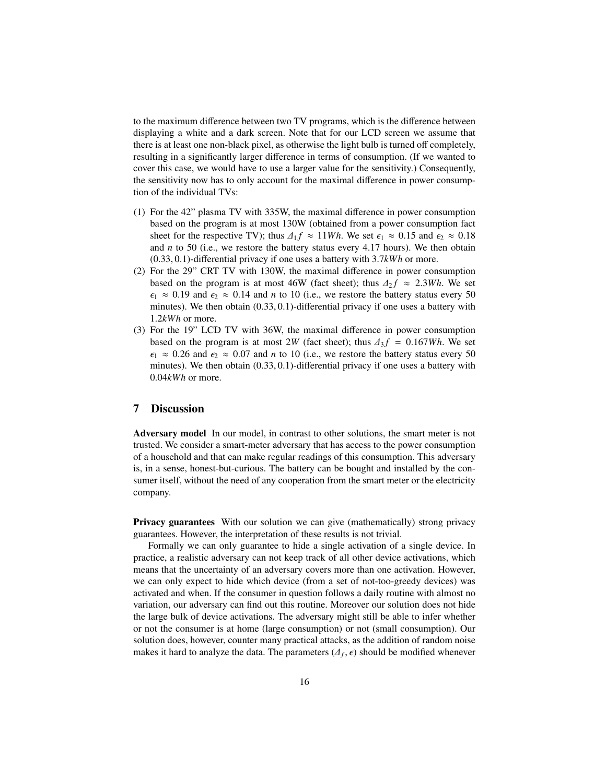to the maximum difference between two TV programs, which is the difference between displaying a white and a dark screen. Note that for our LCD screen we assume that there is at least one non-black pixel, as otherwise the light bulb is turned off completely, resulting in a significantly larger difference in terms of consumption. (If we wanted to cover this case, we would have to use a larger value for the sensitivity.) Consequently, the sensitivity now has to only account for the maximal difference in power consumption of the individual TVs:

- (1) For the 42" plasma TV with 335W, the maximal difference in power consumption based on the program is at most 130W (obtained from a power consumption fact sheet for the respective TV); thus  $\Delta_1 f \approx 11Wh$ . We set  $\epsilon_1 \approx 0.15$  and  $\epsilon_2 \approx 0.18$ and *n* to 50 (i.e., we restore the battery status every 4.17 hours). We then obtain (0.33, <sup>0</sup>.1)-differential privacy if one uses a battery with 3.7*kWh* or more.
- (2) For the 29" CRT TV with 130W, the maximal difference in power consumption based on the program is at most 46W (fact sheet); thus  $\Delta_2 f \approx 2.3Wh$ . We set  $\epsilon_1 \approx 0.19$  and  $\epsilon_2 \approx 0.14$  and *n* to 10 (i.e., we restore the battery status every 50 minutes). We then obtain (0.33, <sup>0</sup>.1)-differential privacy if one uses a battery with <sup>1</sup>.2*kWh* or more.
- (3) For the 19" LCD TV with 36W, the maximal difference in power consumption based on the program is at most 2*W* (fact sheet); thus  $\Delta_3 f = 0.167Wh$ . We set  $\epsilon_1 \approx 0.26$  and  $\epsilon_2 \approx 0.07$  and *n* to 10 (i.e., we restore the battery status every 50 minutes). We then obtain (0.33, <sup>0</sup>.1)-differential privacy if one uses a battery with <sup>0</sup>.04*kWh* or more.

# 7 Discussion

Adversary model In our model, in contrast to other solutions, the smart meter is not trusted. We consider a smart-meter adversary that has access to the power consumption of a household and that can make regular readings of this consumption. This adversary is, in a sense, honest-but-curious. The battery can be bought and installed by the consumer itself, without the need of any cooperation from the smart meter or the electricity company.

Privacy guarantees With our solution we can give (mathematically) strong privacy guarantees. However, the interpretation of these results is not trivial.

Formally we can only guarantee to hide a single activation of a single device. In practice, a realistic adversary can not keep track of all other device activations, which means that the uncertainty of an adversary covers more than one activation. However, we can only expect to hide which device (from a set of not-too-greedy devices) was activated and when. If the consumer in question follows a daily routine with almost no variation, our adversary can find out this routine. Moreover our solution does not hide the large bulk of device activations. The adversary might still be able to infer whether or not the consumer is at home (large consumption) or not (small consumption). Our solution does, however, counter many practical attacks, as the addition of random noise makes it hard to analyze the data. The parameters  $(\Delta_f, \epsilon)$  should be modified whenever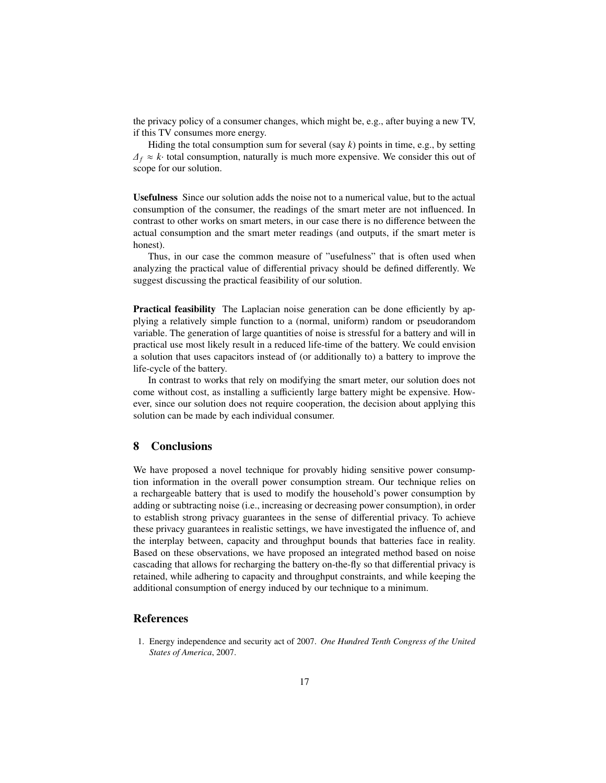the privacy policy of a consumer changes, which might be, e.g., after buying a new TV, if this TV consumes more energy.

Hiding the total consumption sum for several (say *k*) points in time, e.g., by setting  $\Delta_f \approx k$ · total consumption, naturally is much more expensive. We consider this out of scope for our solution.

Usefulness Since our solution adds the noise not to a numerical value, but to the actual consumption of the consumer, the readings of the smart meter are not influenced. In contrast to other works on smart meters, in our case there is no difference between the actual consumption and the smart meter readings (and outputs, if the smart meter is honest).

Thus, in our case the common measure of "usefulness" that is often used when analyzing the practical value of differential privacy should be defined differently. We suggest discussing the practical feasibility of our solution.

Practical feasibility The Laplacian noise generation can be done efficiently by applying a relatively simple function to a (normal, uniform) random or pseudorandom variable. The generation of large quantities of noise is stressful for a battery and will in practical use most likely result in a reduced life-time of the battery. We could envision a solution that uses capacitors instead of (or additionally to) a battery to improve the life-cycle of the battery.

In contrast to works that rely on modifying the smart meter, our solution does not come without cost, as installing a sufficiently large battery might be expensive. However, since our solution does not require cooperation, the decision about applying this solution can be made by each individual consumer.

### 8 Conclusions

We have proposed a novel technique for provably hiding sensitive power consumption information in the overall power consumption stream. Our technique relies on a rechargeable battery that is used to modify the household's power consumption by adding or subtracting noise (i.e., increasing or decreasing power consumption), in order to establish strong privacy guarantees in the sense of differential privacy. To achieve these privacy guarantees in realistic settings, we have investigated the influence of, and the interplay between, capacity and throughput bounds that batteries face in reality. Based on these observations, we have proposed an integrated method based on noise cascading that allows for recharging the battery on-the-fly so that differential privacy is retained, while adhering to capacity and throughput constraints, and while keeping the additional consumption of energy induced by our technique to a minimum.

# **References**

1. Energy independence and security act of 2007. *One Hundred Tenth Congress of the United States of America*, 2007.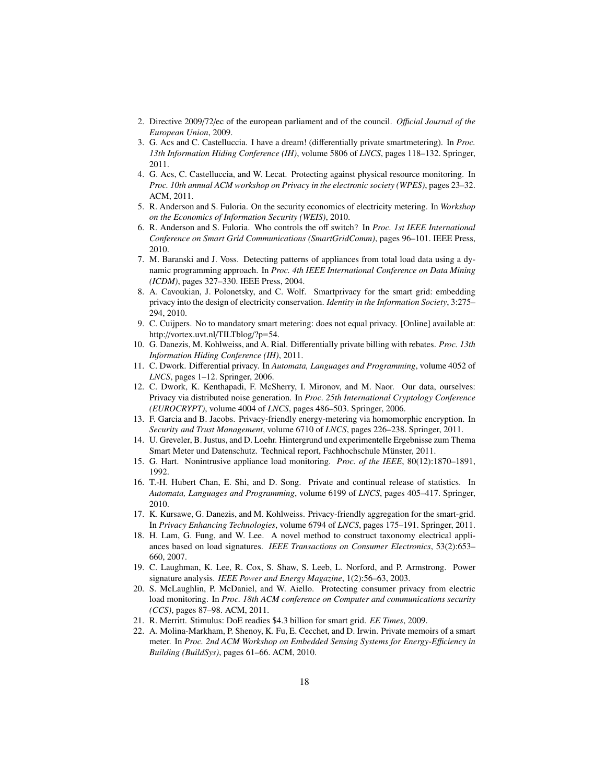- 2. Directive 2009/72/ec of the european parliament and of the council. *O*ffi*cial Journal of the European Union*, 2009.
- 3. G. Acs and C. Castelluccia. I have a dream! (differentially private smartmetering). In *Proc. 13th Information Hiding Conference (IH)*, volume 5806 of *LNCS*, pages 118–132. Springer, 2011.
- 4. G. Acs, C. Castelluccia, and W. Lecat. Protecting against physical resource monitoring. In *Proc. 10th annual ACM workshop on Privacy in the electronic society (WPES)*, pages 23–32. ACM, 2011.
- 5. R. Anderson and S. Fuloria. On the security economics of electricity metering. In *Workshop on the Economics of Information Security (WEIS)*, 2010.
- 6. R. Anderson and S. Fuloria. Who controls the off switch? In *Proc. 1st IEEE International Conference on Smart Grid Communications (SmartGridComm)*, pages 96–101. IEEE Press, 2010.
- 7. M. Baranski and J. Voss. Detecting patterns of appliances from total load data using a dynamic programming approach. In *Proc. 4th IEEE International Conference on Data Mining (ICDM)*, pages 327–330. IEEE Press, 2004.
- 8. A. Cavoukian, J. Polonetsky, and C. Wolf. Smartprivacy for the smart grid: embedding privacy into the design of electricity conservation. *Identity in the Information Society*, 3:275– 294, 2010.
- 9. C. Cuijpers. No to mandatory smart metering: does not equal privacy. [Online] available at: http://vortex.uvt.nl/TILTblog/?p=54.
- 10. G. Danezis, M. Kohlweiss, and A. Rial. Differentially private billing with rebates. *Proc. 13th Information Hiding Conference (IH)*, 2011.
- 11. C. Dwork. Differential privacy. In *Automata, Languages and Programming*, volume 4052 of *LNCS*, pages 1–12. Springer, 2006.
- 12. C. Dwork, K. Kenthapadi, F. McSherry, I. Mironov, and M. Naor. Our data, ourselves: Privacy via distributed noise generation. In *Proc. 25th International Cryptology Conference (EUROCRYPT)*, volume 4004 of *LNCS*, pages 486–503. Springer, 2006.
- 13. F. Garcia and B. Jacobs. Privacy-friendly energy-metering via homomorphic encryption. In *Security and Trust Management*, volume 6710 of *LNCS*, pages 226–238. Springer, 2011.
- 14. U. Greveler, B. Justus, and D. Loehr. Hintergrund und experimentelle Ergebnisse zum Thema Smart Meter und Datenschutz. Technical report, Fachhochschule Münster, 2011.
- 15. G. Hart. Nonintrusive appliance load monitoring. *Proc. of the IEEE*, 80(12):1870–1891, 1992.
- 16. T.-H. Hubert Chan, E. Shi, and D. Song. Private and continual release of statistics. In *Automata, Languages and Programming*, volume 6199 of *LNCS*, pages 405–417. Springer, 2010.
- 17. K. Kursawe, G. Danezis, and M. Kohlweiss. Privacy-friendly aggregation for the smart-grid. In *Privacy Enhancing Technologies*, volume 6794 of *LNCS*, pages 175–191. Springer, 2011.
- 18. H. Lam, G. Fung, and W. Lee. A novel method to construct taxonomy electrical appliances based on load signatures. *IEEE Transactions on Consumer Electronics*, 53(2):653– 660, 2007.
- 19. C. Laughman, K. Lee, R. Cox, S. Shaw, S. Leeb, L. Norford, and P. Armstrong. Power signature analysis. *IEEE Power and Energy Magazine*, 1(2):56–63, 2003.
- 20. S. McLaughlin, P. McDaniel, and W. Aiello. Protecting consumer privacy from electric load monitoring. In *Proc. 18th ACM conference on Computer and communications security (CCS)*, pages 87–98. ACM, 2011.
- 21. R. Merritt. Stimulus: DoE readies \$4.3 billion for smart grid. *EE Times*, 2009.
- 22. A. Molina-Markham, P. Shenoy, K. Fu, E. Cecchet, and D. Irwin. Private memoirs of a smart meter. In *Proc. 2nd ACM Workshop on Embedded Sensing Systems for Energy-E*ffi*ciency in Building (BuildSys)*, pages 61–66. ACM, 2010.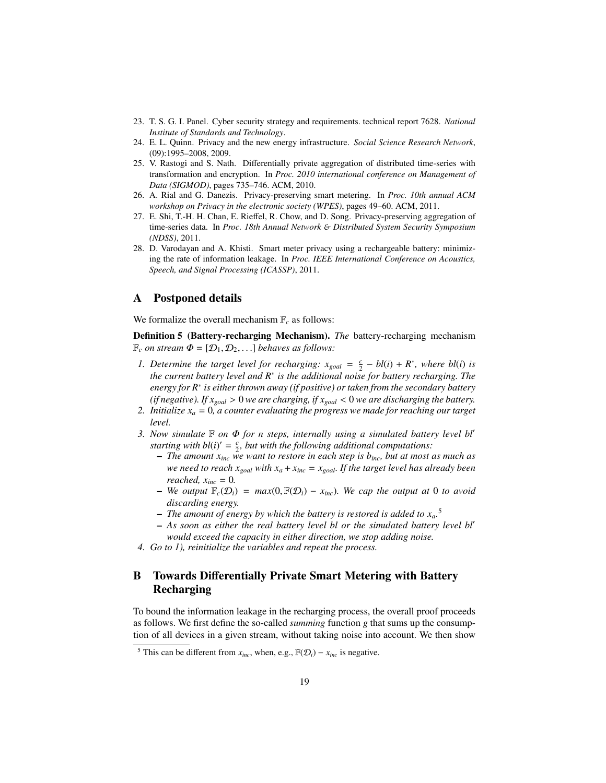- 23. T. S. G. I. Panel. Cyber security strategy and requirements. technical report 7628. *National Institute of Standards and Technology*.
- 24. E. L. Quinn. Privacy and the new energy infrastructure. *Social Science Research Network*, (09):1995–2008, 2009.
- 25. V. Rastogi and S. Nath. Differentially private aggregation of distributed time-series with transformation and encryption. In *Proc. 2010 international conference on Management of Data (SIGMOD)*, pages 735–746. ACM, 2010.
- 26. A. Rial and G. Danezis. Privacy-preserving smart metering. In *Proc. 10th annual ACM workshop on Privacy in the electronic society (WPES)*, pages 49–60. ACM, 2011.
- 27. E. Shi, T.-H. H. Chan, E. Rieffel, R. Chow, and D. Song. Privacy-preserving aggregation of time-series data. In *Proc. 18th Annual Network* & *Distributed System Security Symposium (NDSS)*, 2011.
- 28. D. Varodayan and A. Khisti. Smart meter privacy using a rechargeable battery: minimizing the rate of information leakage. In *Proc. IEEE International Conference on Acoustics, Speech, and Signal Processing (ICASSP)*, 2011.

# A Postponed details

We formalize the overall mechanism  $\mathbb{F}_c$  as follows:

Definition 5 (Battery-recharging Mechanism). *The* battery-recharging mechanism  $\mathbb{F}_c$  *on stream*  $\Phi = [\mathcal{D}_1, \mathcal{D}_2, \ldots]$  *behaves as follows:* 

- *1.* Determine the target level for recharging:  $x_{goal} = \frac{c}{2} bl(i) + R^*$ , where bl(*i*) *is the current battery level and R*<sup>∗</sup> *is the additional noise for battery recharging. The energy for R*<sup>∗</sup> *is either thrown away (if positive) or taken from the secondary battery (if negative). If*  $x_{goal} > 0$  *we are charging, if*  $x_{goal} < 0$  *we are discharging the battery.*
- *2. Initialize x<sup>a</sup>* = 0*, a counter evaluating the progress we made for reaching our target level.*
- *3. Now simulate* **F** *on*  $Φ$  *for n steps, internally using a simulated battery level bl' starting with bl*(*i*)' =  $\frac{c}{2}$ *, but with the following additional computations:* 
	- *The amount xinc we want to restore in each step is binc, but at most as much as we need to reach*  $x_{goal}$  *with*  $x_a + x_{inc} = x_{goal}$ *. If the target level has already been reached,*  $x_{inc} = 0$ .
	- *We output* <sup>F</sup>*c*(D*i*) <sup>=</sup> *max*(0, <sup>F</sup>(D*i*) <sup>−</sup> *<sup>x</sup>inc*)*. We cap the output at* <sup>0</sup> *to avoid discarding energy.*
	- *The amount of energy by which the battery is restored is added to xa.* 5
	- $-$  As soon as either the real battery level bl or the simulated battery level bl' *would exceed the capacity in either direction, we stop adding noise.*
- *4. Go to 1), reinitialize the variables and repeat the process.*

# B Towards Differentially Private Smart Metering with Battery **Recharging**

To bound the information leakage in the recharging process, the overall proof proceeds as follows. We first define the so-called *summing* function *g* that sums up the consumption of all devices in a given stream, without taking noise into account. We then show

<sup>&</sup>lt;sup>5</sup> This can be different from  $x_{inc}$ , when, e.g.,  $\mathbb{F}(\mathcal{D}_i) - x_{inc}$  is negative.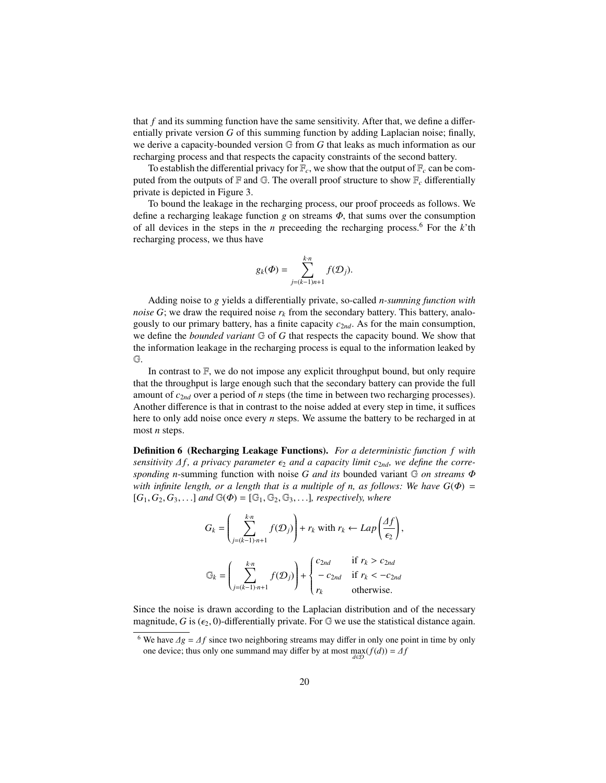that *f* and its summing function have the same sensitivity. After that, we define a differentially private version *G* of this summing function by adding Laplacian noise; finally, we derive a capacity-bounded version G from *G* that leaks as much information as our recharging process and that respects the capacity constraints of the second battery.

To establish the differential privacy for  $\mathbb{F}_c$ , we show that the output of  $\mathbb{F}_c$  can be computed from the outputs of  $\mathbb F$  and  $\mathbb G$ . The overall proof structure to show  $\mathbb F_c$  differentially private is depicted in Figure 3.

To bound the leakage in the recharging process, our proof proceeds as follows. We define a recharging leakage function  $g$  on streams  $\Phi$ , that sums over the consumption of all devices in the steps in the *n* preceeding the recharging process.<sup>6</sup> For the  $k$ 'th recharging process, we thus have

$$
g_k(\Phi) = \sum_{j=(k-1)n+1}^{k.n} f(\mathcal{D}_j).
$$

Adding noise to *g* yields a differentially private, so-called *n-sumning function with noise G*; we draw the required noise  $r_k$  from the secondary battery. This battery, analogously to our primary battery, has a finite capacity  $c_{2nd}$ . As for the main consumption, we define the *bounded variant* G of *G* that respects the capacity bound. We show that the information leakage in the recharging process is equal to the information leaked by G.

In contrast to  $F$ , we do not impose any explicit throughput bound, but only require that the throughput is large enough such that the secondary battery can provide the full amount of  $c_{2nd}$  over a period of *n* steps (the time in between two recharging processes). Another difference is that in contrast to the noise added at every step in time, it suffices here to only add noise once every *n* steps. We assume the battery to be recharged in at most *n* steps.

Definition 6 (Recharging Leakage Functions). *For a deterministic function f with sensitivity*  $\Delta f$ , a privacy parameter  $\epsilon_2$  and a capacity limit  $c_{2nd}$ *, we define the corresponding n*-summing function with noise *G and its* bounded variant <sup>G</sup> *on streams* Φ *with infinite length, or a length that is a multiple of n, as follows: We have*  $G(\Phi)$  =  $[G_1, G_2, G_3, \ldots]$  *and*  $\mathbb{G}(\Phi) = [\mathbb{G}_1, \mathbb{G}_2, \mathbb{G}_3, \ldots]$ *, respectively, where* 

$$
G_k = \left(\sum_{j=(k-1)\cdot n+1}^{k\cdot n} f(\mathcal{D}_j)\right) + r_k \text{ with } r_k \leftarrow Lap\left(\frac{\Delta f}{\epsilon_2}\right),
$$

$$
\mathbb{G}_k = \left(\sum_{j=(k-1)\cdot n+1}^{k\cdot n} f(\mathcal{D}_j)\right) + \begin{cases} c_{2nd} & \text{if } r_k > c_{2nd} \\ -c_{2nd} & \text{if } r_k < -c_{2nd} \\ r_k & \text{otherwise.} \end{cases}
$$

Since the noise is drawn according to the Laplacian distribution and of the necessary magnitude, *G* is  $(\epsilon_2, 0)$ -differentially private. For G we use the statistical distance again.

<sup>&</sup>lt;sup>6</sup> We have  $\Delta g = \Delta f$  since two neighboring streams may differ in only one point in time by only one device; thus only one summand may differ by at most  $\max_{d \in \mathcal{D}} (f(d)) = \Delta f$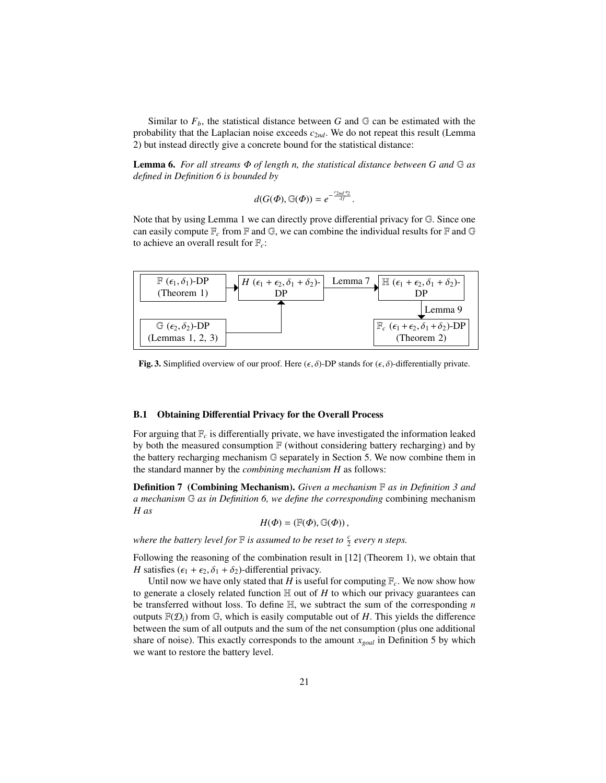Similar to  $F_b$ , the statistical distance between G and G can be estimated with the probability that the Laplacian noise exceeds  $c_{2nd}$ . We do not repeat this result (Lemma 2) but instead directly give a concrete bound for the statistical distance:

Lemma 6. *For all streams* Φ *of length n, the statistical distance between G and* <sup>G</sup> *as defined in Definition 6 is bounded by*

 $d(G(\Phi), \mathbb{G}(\Phi)) = e^{-\frac{c_{2nd} \cdot \epsilon_2}{\Delta f}}$ 

Note that by using Lemma 1 we can directly prove differential privacy for G. Since one can easily compute  $\mathbb{F}_c$  from  $\mathbb F$  and  $\mathbb G$ , we can combine the individual results for  $\mathbb F$  and  $\mathbb G$ to achieve an overall result for  $\mathbb{F}_c$ :



Fig. 3. Simplified overview of our proof. Here  $(\epsilon, \delta)$ -DP stands for  $(\epsilon, \delta)$ -differentially private.

#### B.1 Obtaining Differential Privacy for the Overall Process

For arguing that  $\mathbb{F}_c$  is differentially private, we have investigated the information leaked by both the measured consumption  $F$  (without considering battery recharging) and by the battery recharging mechanism G separately in Section 5. We now combine them in the standard manner by the *combining mechanism H* as follows:

Definition 7 (Combining Mechanism). *Given a mechanism* F *as in Definition 3 and a mechanism* G *as in Definition 6, we define the corresponding* combining mechanism *H as*

$$
H(\varPhi)=(\mathbb{F}(\varPhi),\mathbb{G}(\varPhi)),
$$

where the battery level for  $\mathbb F$  is assumed to be reset to  $\frac{c}{2}$  every n steps.

Following the reasoning of the combination result in [12] (Theorem 1), we obtain that *H* satisfies  $(\epsilon_1 + \epsilon_2, \delta_1 + \delta_2)$ -differential privacy.

Until now we have only stated that *H* is useful for computing  $\mathbb{F}_c$ . We now show how to generate a closely related function  $H$  out of  $H$  to which our privacy guarantees can be transferred without loss. To define H, we subtract the sum of the corresponding *n* outputs  $\mathbb{F}(\mathcal{D}_i)$  from  $\mathbb{G}$ , which is easily computable out of *H*. This yields the difference between the sum of all outputs and the sum of the net consumption (plus one additional share of noise). This exactly corresponds to the amount *xgoal* in Definition 5 by which we want to restore the battery level.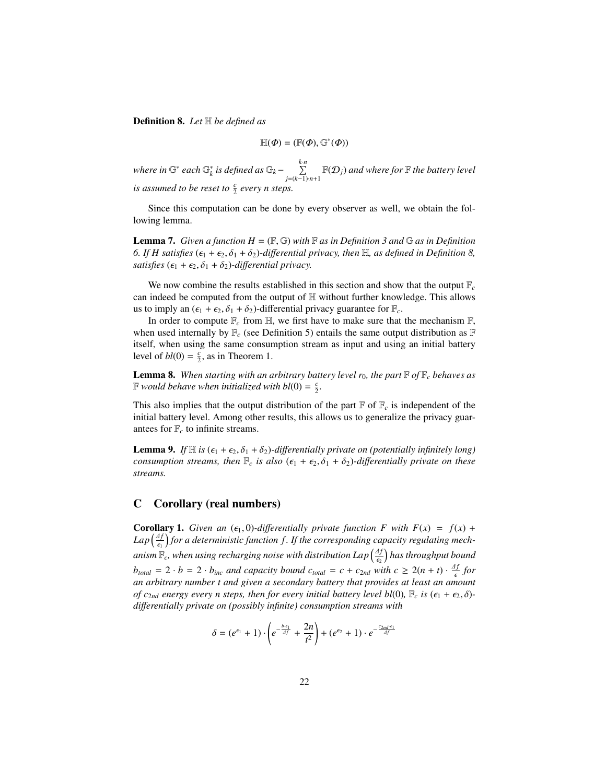Definition 8. *Let* H *be defined as*

$$
\mathbb{H}(\varPhi)=(\mathbb{F}(\varPhi),\mathbb{G}^*(\varPhi))
$$

*where in*  $\mathbb{G}^*$  *each*  $\mathbb{G}_k^*$  *is defined as*  $\mathbb{G}_k - \sum_{j=(k-1)\cdot n+1}^{k\cdot n} \mathbb{F}(\mathcal{D}_j)$  *and where for*  $\mathbb F$  *the battery level is assumed to be reset to*  $\frac{c}{2}$  *every n steps.* 

Since this computation can be done by every observer as well, we obtain the following lemma.

**Lemma 7.** *Given a function*  $H = (\mathbb{F}, \mathbb{G})$  *with*  $\mathbb{F}$  *as in Definition* 3 *and*  $\mathbb{G}$  *as in Definition 6. If H satisfies* ( $\epsilon_1 + \epsilon_2$ ,  $\delta_1 + \delta_2$ )-differential privacy, then H, as defined in Definition 8, *satisfies*  $(\epsilon_1 + \epsilon_2, \delta_1 + \delta_2)$ *-differential privacy.* 

We now combine the results established in this section and show that the output F*<sup>c</sup>* can indeed be computed from the output of H without further knowledge. This allows us to imply an  $(\epsilon_1 + \epsilon_2, \delta_1 + \delta_2)$ -differential privacy guarantee for  $\mathbb{F}_c$ .

In order to compute  $\mathbb{F}_c$  from  $\mathbb{H}$ , we first have to make sure that the mechanism  $\mathbb{F}_r$ , when used internally by  $\mathbb{F}_c$  (see Definition 5) entails the same output distribution as  $\mathbb F$ itself, when using the same consumption stream as input and using an initial battery level of  $bl(0) = \frac{c}{2}$ , as in Theorem 1.

**Lemma 8.** When starting with an arbitrary battery level  $r_0$ , the part  $\mathbb{F}$  of  $\mathbb{F}_c$  behaves as **F** would behave when initialized with  $bl(0) = \frac{c}{2}$ .

This also implies that the output distribution of the part  $\mathbb{F}$  of  $\mathbb{F}_c$  is independent of the initial battery level. Among other results, this allows us to generalize the privacy guarantees for  $\mathbb{F}_c$  to infinite streams.

**Lemma 9.** If  $\mathbb{H}$  is  $(\epsilon_1 + \epsilon_2, \delta_1 + \delta_2)$ -differentially private on (potentially infinitely long) *consumption streams, then*  $\mathbb{F}_c$  *is also* ( $\epsilon_1 + \epsilon_2$ ,  $\delta_1 + \delta_2$ )-differentially private on these *streams.*

# C Corollary (real numbers)

**Corollary 1.** *Given an* ( $\epsilon_1$ , 0)*-differentially private function* F with  $F(x) = f(x) + f(x)$  $Lap\left(\frac{df}{dx}\right)$  for a deterministic function f. If the corresponding capacity regulating mechanism  $\mathbb{F}_c$ , when using recharging noise with distribution  $\text{Lap}(\frac{df}{d})$  has throughput bound  $b_{total} = 2 \cdot b = 2 \cdot b_{inc}$  and capacity bound  $c_{total} = c + c_{2nd}$  with  $c \ge 2(n + t) \cdot \frac{df}{f}$  for *an arbitrary number t and given a secondary battery that provides at least an amount of c*<sub>2nd</sub> energy every n steps, then for every initial battery level bl(0),  $\mathbb{F}_c$  is ( $\epsilon_1 + \epsilon_2$ ,  $\delta$ )*di*ff*erentially private on (possibly infinite) consumption streams with*

$$
\delta = (e^{\epsilon_1} + 1) \cdot \left(e^{-\frac{b \cdot \epsilon_1}{df}} + \frac{2n}{t^2}\right) + (e^{\epsilon_2} + 1) \cdot e^{-\frac{c_{2nd} \cdot \epsilon_1}{df}}
$$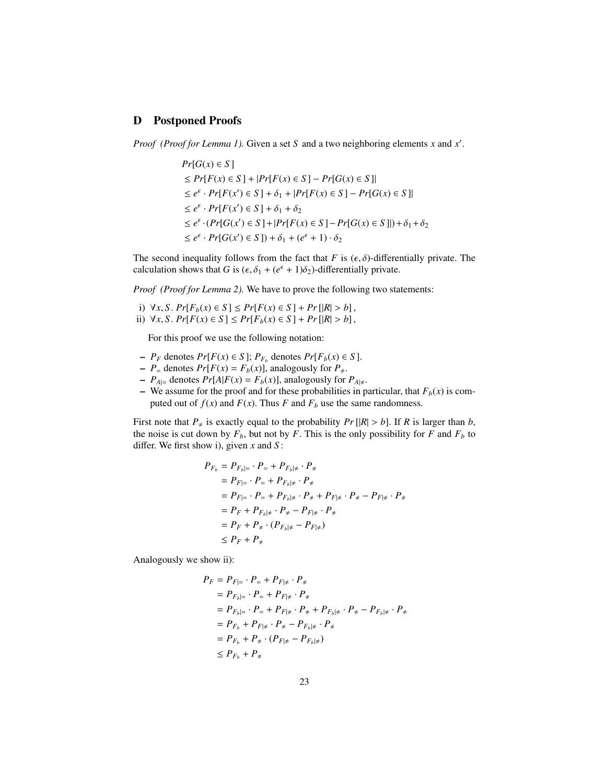# D Postponed Proofs

*Proof* (*Proof for Lemma 1*). Given a set *S* and a two neighboring elements *x* and *x'*.

$$
Pr[G(x) \in S] \n\leq Pr[F(x) \in S] + |Pr[F(x) \in S] - Pr[G(x) \in S]| \n\leq e^{\epsilon} \cdot Pr[F(x') \in S] + \delta_1 + |Pr[F(x) \in S] - Pr[G(x) \in S]| \n\leq e^{\epsilon} \cdot Pr[F(x') \in S] + \delta_1 + \delta_2 \n\leq e^{\epsilon} \cdot (Pr[G(x') \in S] + |Pr[F(x) \in S] - Pr[G(x) \in S]|) + \delta_1 + \delta_2 \n\leq e^{\epsilon} \cdot Pr[G(x') \in S]) + \delta_1 + (e^{\epsilon} + 1) \cdot \delta_2
$$

The second inequality follows from the fact that *F* is  $(\epsilon, \delta)$ -differentially private. The calculation shows that *G* is  $(\epsilon, \delta_1 + (e^{\epsilon} + 1)\delta_2)$ -differentially private.

*Proof (Proof for Lemma 2).* We have to prove the following two statements:

- i)  $\forall x, S$ .  $Pr[F_b(x) \in S] \leq Pr[F(x) \in S] + Pr[|R| > b],$ ii) <sup>∀</sup>*x*, *<sup>S</sup>*. *Pr*[*F*(*x*) <sup>∈</sup> *<sup>S</sup>* ] <sup>≤</sup> *Pr*[*Fb*(*x*) <sup>∈</sup> *<sup>S</sup>* ] <sup>+</sup> *Pr*[|*R*<sup>|</sup> <sup>&</sup>gt; *<sup>b</sup>*] ,
- 

For this proof we use the following notation:

- $-P<sub>F</sub>$  denotes  $Pr[F(x) ∈ S]; P<sub>F<sub>b</sub></sub>$  denotes  $Pr[F<sub>b</sub>(x) ∈ S].$
- $-P_{\pm}$  denotes  $Pr[F(x) = F_b(x)]$ , analogously for  $P_{\pm}$ .
- $-P_{A|=}$  denotes  $Pr[A|F(x) = F_b(x)]$ , analogously for  $P_{A|\neq}$ .
- We assume for the proof and for these probabilities in particular, that  $F_b(x)$  is computed out of  $f(x)$  and  $F(x)$ . Thus  $F$  and  $F_b$  use the same randomness.

First note that  $P_{\pm}$  is exactly equal to the probability  $Pr[|R| > b]$ . If R is larger than *b*, the noise is cut down by  $F_b$ , but not by  $F$ . This is the only possibility for  $F$  and  $F_b$  to differ. We first show i), given *x* and *S* :

$$
P_{F_b} = P_{F_b|=} \cdot P_{=} + P_{F_b|\neq} \cdot P_{\neq}
$$
  
=  $P_{F|=} \cdot P_{=} + P_{F_b|\neq} \cdot P_{\neq}$   
=  $P_{F|=} \cdot P_{=} + P_{F_b|\neq} \cdot P_{\neq} + P_{F|\neq} \cdot P_{\neq} - P_{F|\neq} \cdot P_{\neq}$   
=  $P_F + P_{F_b|\neq} \cdot P_{\neq} - P_{F|\neq} \cdot P_{\neq}$   
=  $P_F + P_{\neq} \cdot (P_{F_b|\neq} - P_{F|\neq})$   
 $\leq P_F + P_{\neq}$ 

Analogously we show ii):

$$
P_F = P_{F|=} \cdot P_{=} + P_{F|\neq} \cdot P_{\neq}
$$
  
=  $P_{F_b|=} \cdot P_{=} + P_{F|\neq} \cdot P_{\neq}$   
=  $P_{F_b|=} \cdot P_{=} + P_{F|\neq} \cdot P_{\neq} + P_{F_b|\neq} \cdot P_{\neq} - P_{F_b|\neq} \cdot P_{\neq}$   
=  $P_{F_b} + P_{F|\neq} \cdot P_{\neq} - P_{F_b|\neq} \cdot P_{\neq}$   
=  $P_{F_b} + P_{\neq} \cdot (P_{F|\neq} - P_{F_b|\neq})$   
 $\leq P_{F_b} + P_{\neq}$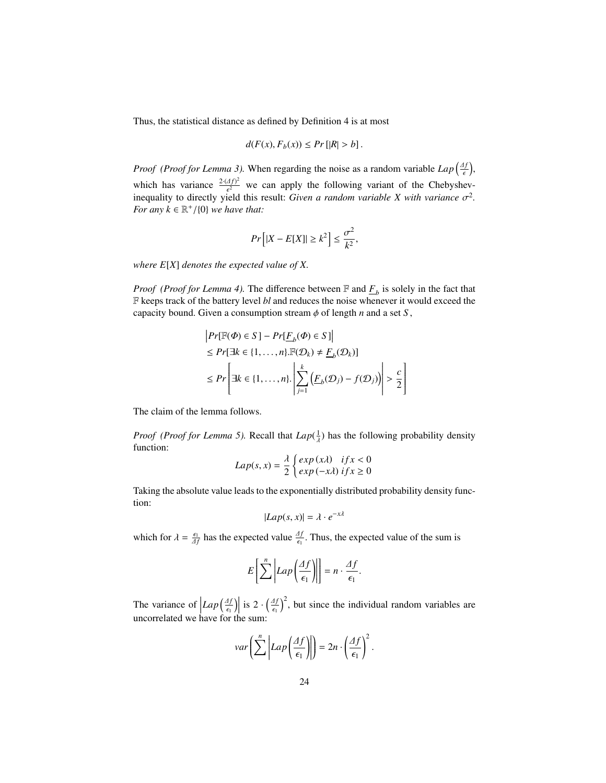Thus, the statistical distance as defined by Definition 4 is at most

$$
d(F(x), F_b(x)) \le Pr\left[|R| > b\right].
$$

*Proof* (*Proof for Lemma 3*). When regarding the noise as a random variable  $Lap\left(\frac{df}{\epsilon}\right)$ , which has variance  $\frac{2 \cdot (\Delta f)^2}{\epsilon^2}$  we can apply the following variant of the Chebyshe  $\frac{2Jf^2}{\epsilon^2}$  we can apply the following variant of the Chebyshev-<br>ield this result: Given a random variable Y with variance  $\sigma^2$ inequality to directly yield this result: *Given a random variable X with variance*  $\sigma^2$ .<br>For any  $k \in \mathbb{R}^+/\{0\}$  we have that: *For any*  $k \in \mathbb{R}^+$  /{0} *we have that:* 

$$
Pr\left[|X - E[X]| \ge k^2\right] \le \frac{\sigma^2}{k^2},
$$

*where E*[*X*] *denotes the expected value of X.*

*Proof (Proof for Lemma 4)*. The difference between  $\mathbb{F}$  and  $\underline{F}_b$  is solely in the fact that F keeps track of the battery level *bl* and reduces the noise whenever it would exceed the capacity bound. Given a consumption stream  $\phi$  of length *n* and a set *S*,

$$
\begin{aligned} & \left| Pr[\mathbb{F}(\Phi) \in S] - Pr[\underline{F}_b(\Phi) \in S] \right| \\ &\leq Pr[\exists k \in \{1, \dots, n\}, \mathbb{F}(\mathcal{D}_k) \neq \underline{F}_b(\mathcal{D}_k)] \\ &\leq Pr\left[ \exists k \in \{1, \dots, n\}, \left| \sum_{j=1}^k \left( \underline{F}_b(\mathcal{D}_j) - f(\mathcal{D}_j) \right) \right| > \frac{c}{2} \right] \end{aligned}
$$

The claim of the lemma follows.

*Proof (Proof for Lemma 5).* Recall that  $Lap(\frac{1}{\lambda})$  has the following probability density function:

$$
Lap(s, x) = \frac{\lambda}{2} \begin{cases} exp(x\lambda) & if x < 0\\ exp(-x\lambda) & if x \ge 0 \end{cases}
$$

Taking the absolute value leads to the exponentially distributed probability density function:

$$
|Lap(s,x)| = \lambda \cdot e^{-x\lambda}
$$

which for  $\lambda = \frac{\epsilon_1}{4f}$  has the expected value  $\frac{4f}{\epsilon_1}$ . Thus, the expected value of the sum is

$$
E\left[\sum_{i=1}^{n} \left| Lap\left(\frac{\Delta f}{\epsilon_1}\right) \right| \right] = n \cdot \frac{\Delta f}{\epsilon_1}.
$$

The variance of  $\left| Lap\left(\frac{df}{\epsilon_1}\right) \right|$  is  $2 \cdot \left(\frac{df}{\epsilon_1}\right)$ <br>uncorrelated we have for the sum: uncorrelated we have for the sum:  $\epsilon$ <sub>1</sub>  $\int_0^2$ , but since the individual random variables are

$$
var\bigg(\sum_{i=1}^{n} \bigg| Lap\bigg(\frac{\Delta f}{\epsilon_1}\bigg) \bigg| \bigg) = 2n \cdot \bigg(\frac{\Delta f}{\epsilon_1}\bigg)^2.
$$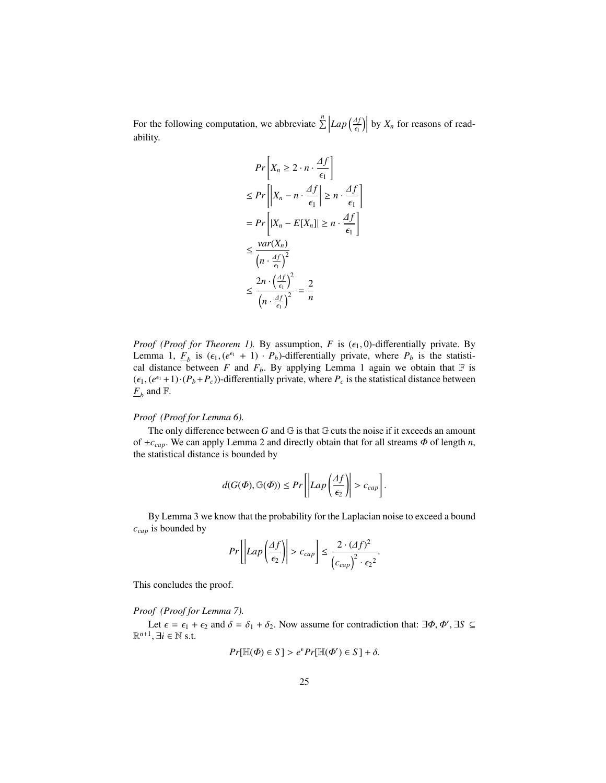For the following computation, we abbreviate  $\sum_{\epsilon_1}^n |Lap\left(\frac{df}{\epsilon_1}\right)|^2$  $\epsilon$  $\left| \right|$  by  $X_n$  for reasons of readability.

$$
Pr\left[X_n \ge 2 \cdot n \cdot \frac{df}{\epsilon_1}\right]
$$
  
\n
$$
\leq Pr\left[\left|X_n - n \cdot \frac{df}{\epsilon_1}\right| \geq n \cdot \frac{df}{\epsilon_1}\right]
$$
  
\n
$$
= Pr\left[\left|X_n - E[X_n]\right| \geq n \cdot \frac{df}{\epsilon_1}\right]
$$
  
\n
$$
\leq \frac{var(X_n)}{\left(n \cdot \frac{df}{\epsilon_1}\right)^2}
$$
  
\n
$$
\leq \frac{2n \cdot \left(\frac{df}{\epsilon_1}\right)^2}{\left(n \cdot \frac{df}{\epsilon_1}\right)^2} = \frac{2}{n}
$$

*Proof* (Proof for Theorem 1). By assumption, *F* is  $(\epsilon_1, 0)$ -differentially private. By Lemma 1,  $\underline{F}_b$  is ( $\epsilon_1$ , ( $e^{\epsilon_1} + 1$ ) ·  $P_b$ )-differentially private, where  $P_b$  is the statistical distance between  $F$  and  $F_b$ . By applying Lemma 1 again we obtain that  $\mathbb{F}_b$  is cal distance between *F* and  $F_b$ . By applying Lemma 1 again we obtain that  $\mathbb F$  is  $(\epsilon_1, (e^{\epsilon_1} + 1) \cdot (P_b + P_c))$ -differentially private, where  $P_c$  is the statistical distance between  $F$  and  $\mathbb{F}$  $\overline{F}_b$  and  $\overline{F}$ .

#### *Proof (Proof for Lemma 6).*

The only difference between  $G$  and  $G$  is that  $G$  cuts the noise if it exceeds an amount of  $\pm c_{cap}$ . We can apply Lemma 2 and directly obtain that for all streams  $\Phi$  of length *n*, the statistical distance is bounded by

$$
d(G(\Phi), \mathbb{G}(\Phi)) \le Pr\left[\left|Lap\left(\frac{\Delta f}{\epsilon_2}\right)\right| > c_{cap}\right].
$$

By Lemma 3 we know that the probability for the Laplacian noise to exceed a bound *ccap* is bounded by

$$
Pr\left[\left|Lap\left(\frac{\Delta f}{\epsilon_2}\right)\right| > c_{cap}\right] \le \frac{2 \cdot (\Delta f)^2}{\left(c_{cap}\right)^2 \cdot \epsilon_2^2}
$$

This concludes the proof.

#### *Proof (Proof for Lemma 7).*

Let  $\epsilon = \epsilon_1 + \epsilon_2$  and  $\delta = \delta_1 + \delta_2$ . Now assume for contradiction that:  $\exists \Phi, \Phi', \exists S \subseteq$ <br><sup>1</sup>  $\exists i \in \mathbb{N}$  s t  $\mathbb{R}^{n+1}$ ,  $\exists i \in \mathbb{N}$  s.t.

$$
Pr[\mathbb{H}(\Phi) \in S] > e^{\epsilon} Pr[\mathbb{H}(\Phi') \in S] + \delta.
$$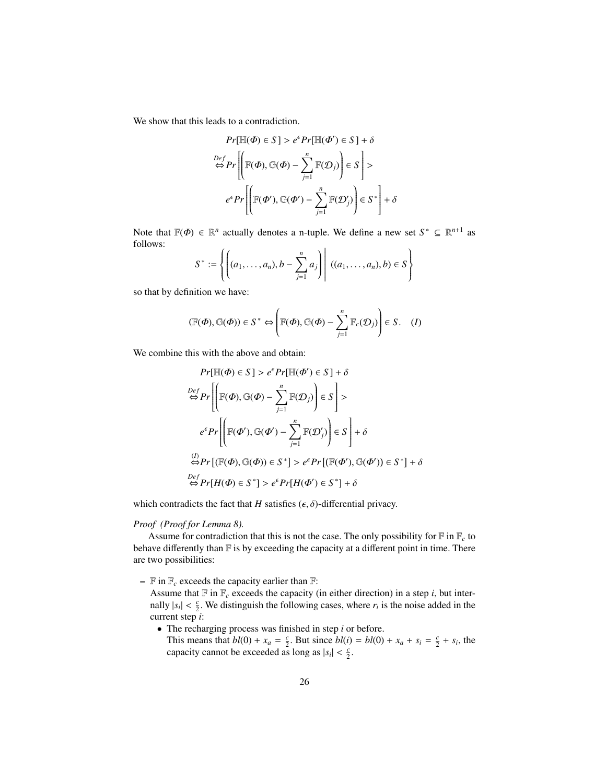We show that this leads to a contradiction.

$$
Pr[\mathbb{H}(\Phi) \in S] > e^{\epsilon} Pr[\mathbb{H}(\Phi') \in S] + \delta
$$
  
\n
$$
\stackrel{Def}{\Leftrightarrow} Pr\left[\mathbb{F}(\Phi), \mathbb{G}(\Phi) - \sum_{j=1}^{n} \mathbb{F}(\mathcal{D}_{j})\right] \in S\right] >
$$
  
\n
$$
e^{\epsilon} Pr\left[\mathbb{F}(\Phi'), \mathbb{G}(\Phi') - \sum_{j=1}^{n} \mathbb{F}(\mathcal{D}'_{j})\right] \in S^{*}\right] + \delta
$$

Note that  $\mathbb{F}(\Phi) \in \mathbb{R}^n$  actually denotes a n-tuple. We define a new set  $S^* \subseteq \mathbb{R}^{n+1}$  as follows: follows:  $\lambda$ 

$$
S^* := \left\{ \left( (a_1, \ldots, a_n), b - \sum_{j=1}^n a_j \right) \middle| (a_1, \ldots, a_n), b) \in S \right\}
$$

so that by definition we have:

$$
(\mathbb{F}(\Phi), \mathbb{G}(\Phi)) \in S^* \Leftrightarrow \left(\mathbb{F}(\Phi), \mathbb{G}(\Phi) - \sum_{j=1}^n \mathbb{F}_c(\mathcal{D}_j)\right) \in S. \quad (I)
$$

We combine this with the above and obtain:

$$
Pr[\mathbb{H}(\Phi) \in S] > e^{\epsilon} Pr[\mathbb{H}(\Phi') \in S] + \delta
$$
  
\n
$$
\stackrel{Def}{\Leftrightarrow} Pr\left[\mathbb{F}(\Phi), \mathbb{G}(\Phi) - \sum_{j=1}^{n} \mathbb{F}(\mathcal{D}_{j})\right] \in S \right] >
$$
  
\n
$$
e^{\epsilon} Pr\left[\mathbb{F}(\Phi'), \mathbb{G}(\Phi') - \sum_{j=1}^{n} \mathbb{F}(\mathcal{D}'_{j})\right] \in S \right] + \delta
$$
  
\n
$$
\stackrel{(I)}{\Leftrightarrow} Pr[\mathbb{F}(\Phi), \mathbb{G}(\Phi)) \in S^{*}] > e^{\epsilon} Pr[\mathbb{F}(\Phi'), \mathbb{G}(\Phi')) \in S^{*}] + \delta
$$
  
\n
$$
\stackrel{Def}{\Leftrightarrow} Pr[H(\Phi) \in S^{*}] > e^{\epsilon} Pr[H(\Phi') \in S^{*}] + \delta
$$

which contradicts the fact that *H* satisfies  $(\epsilon, \delta)$ -differential privacy.

#### *Proof (Proof for Lemma 8).*

Assume for contradiction that this is not the case. The only possibility for  $\mathbb{F}$  in  $\mathbb{F}_c$  to behave differently than  $F$  is by exceeding the capacity at a different point in time. There are two possibilities:

 $-$  F in  $\mathbb{F}_c$  exceeds the capacity earlier than F:

Assume that  $\mathbb F$  in  $\mathbb F_c$  exceeds the capacity (in either direction) in a step *i*, but internally  $|s_i| < \frac{c}{2}$ . We distinguish the following cases, where  $r_i$  is the noise added in the current step *i*: current step *i*:

• The recharging process was finished in step *i* or before.

This means that  $bl(0) + x_a = \frac{c}{2}$ . But since  $bl(i) = bl(0) + x_a + s_i = \frac{c}{2} + s_i$ , the capacity cannot be exceeded as long as  $|s_i| < \frac{c}{2}$ .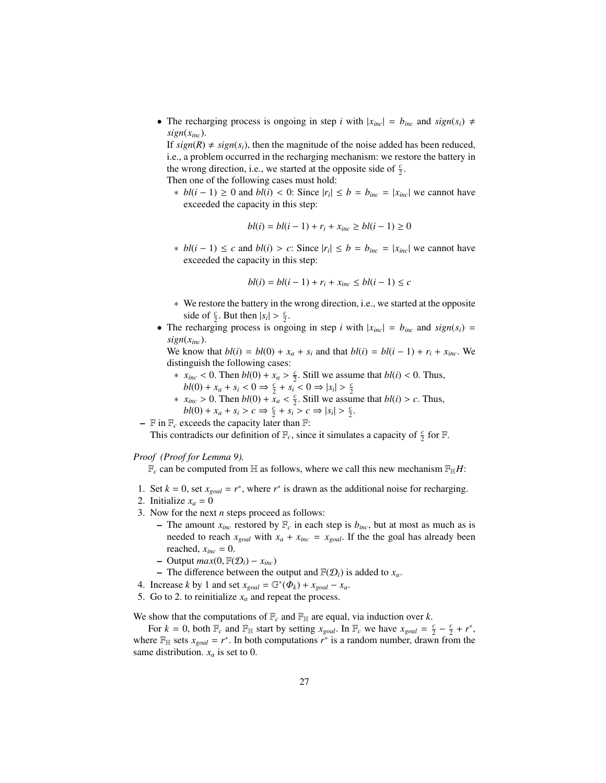• The recharging process is ongoing in step *i* with  $|x_{inc}| = b_{inc}$  and  $sign(s_i) \neq$  $sign(x_{inc})$ .

If  $sign(R) \neq sign(s_i)$ , then the magnitude of the noise added has been reduced, i.e., a problem occurred in the recharging mechanism: we restore the battery in the wrong direction, i.e., we started at the opposite side of  $\frac{c}{2}$ .

Then one of the following cases must hold:

 $\ast$  *bl*(*i* − 1) ≥ 0 and *bl*(*i*) < 0: Since  $|r_i|$  ≤ *b* = *b<sub>inc</sub>* =  $|x_{inc}|$  we cannot have exceeded the capacity in this step:

$$
bl(i) = bl(i - 1) + r_i + x_{inc} \ge bl(i - 1) \ge 0
$$

 $\frac{b}{i}$  *b k*(*i* − 1) ≤ *c* and *bl*(*i*) > *c*: Since  $|r_i|$  ≤ *b* = *b*<sub>*inc*</sub> =  $|x_{inc}|$  we cannot have exceeded the capacity in this step:

$$
bl(i) = bl(i-1) + r_i + x_{inc} \le bl(i-1) \le c
$$

- ∗ We restore the battery in the wrong direction, i.e., we started at the opposite side of  $\frac{c}{2}$ . But then  $|s_i| > \frac{c}{2}$ .<br>recharging process is onge
- The recharging process is ongoing in step *i* with  $|x_{inc}| = b_{inc}$  and  $sign(s_i) =$ *sign*(*xinc*).

We know that  $bl(i) = bl(0) + x_a + s_i$  and that  $bl(i) = bl(i-1) + r_i + x_{inc}$ . We distinguish the following cases:

- ∗ *x<sub>inc</sub>* < 0. Then *bl*(0) + *x<sub>a</sub>* >  $\frac{c}{2}$ . Still we assume that *bl*(*i*) < 0. Thus, *bl*(0) + *x* + *s* < 0 →  $\frac{c}{2}$  + *s* < 0 →  $\frac{c}{2}$  + *s* < 0 →  $\frac{c}{2}$  + *s* < 0 →  $\frac{c}{2}$  $bl(0) + x_a + s_i < 0 \Rightarrow \frac{c}{2} + s_i < 0 \Rightarrow |s_i| > \frac{c}{2}$ <br>  $x_i > 0$  Then  $bl(0) + x_i < \frac{c}{2}$  Still we assu
- $*$  *x<sub>inc</sub>* > 0. Then *bl*(0) +  $\bar{x}_a < \frac{c}{2}$ . Still we assume that *bl*(*i*) > *c*. Thus, *bl*(0) + *x* + *s*⋅ > *c* → *s*<sup></sup> + *s*⋅ > *c* → *s*<sup>1</sup>  $bl(0) + x_a + s_i > c \Rightarrow \frac{c}{2} + s_i > c \Rightarrow |s_i| > \frac{c}{2}.$
- $-$  F in  $\mathbb{F}_c$  exceeds the capacity later than F:

This contradicts our definition of  $\mathbb{F}_c$ , since it simulates a capacity of  $\frac{c}{2}$  for  $\mathbb{F}$ .

*Proof (Proof for Lemma 9).*

 $\mathbb{F}_c$  can be computed from H as follows, where we call this new mechanism  $\mathbb{F}_H H$ :

- 1. Set  $k = 0$ , set  $x_{goal} = r^*$ , where  $r^*$  is drawn as the additional noise for recharging.
- 2. Initialize  $x_a = 0$
- 3. Now for the next *n* steps proceed as follows:
	- The amount  $x_{inc}$  restored by  $\mathbb{F}_c$  in each step is  $b_{inc}$ , but at most as much as is needed to reach  $x_{goal}$  with  $x_a + x_{inc} = x_{goal}$ . If the the goal has already been reached,  $x_{inc} = 0$ .
	- Output *max*(0, <sup>F</sup>(D*i*) <sup>−</sup> *<sup>x</sup>inc*)
	- The difference between the output and  $\mathbb{F}(\mathcal{D}_i)$  is added to  $x_a$ .
- 4. Increase *k* by 1 and set  $x_{goal} = \mathbb{G}^*(\Phi_k) + x_{goal} x_a$ .<br>5. Go to 2, to reinitialize *x*, and repeat the process
- 5. Go to 2. to reinitialize  $x_a$  and repeat the process.

We show that the computations of  $\mathbb{F}_c$  and  $\mathbb{F}_H$  are equal, via induction over *k*.

For  $k = 0$ , both  $\mathbb{F}_c$  and  $\mathbb{F}_H$  start by setting  $x_{goal}$ . In  $\mathbb{F}_c$  we have  $x_{goal} = \frac{c}{2} - \frac{c}{2} + r^*$ , where  $\mathbb{F}_{\mathbb{H}}$  sets  $x_{goal} = r^*$ . In both computations  $r^*$  is a random number, drawn from the same distribution.  $x_a$  is set to 0.